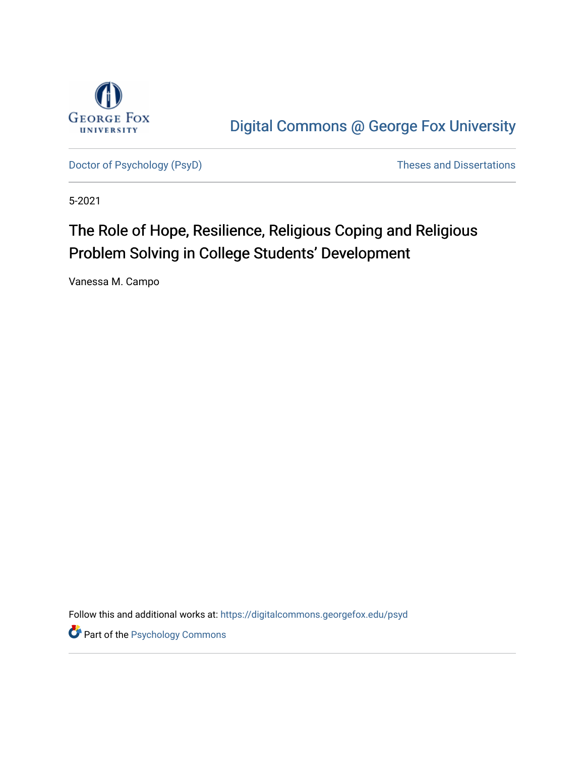

[Digital Commons @ George Fox University](https://digitalcommons.georgefox.edu/) 

[Doctor of Psychology \(PsyD\)](https://digitalcommons.georgefox.edu/psyd) and Dissertations of Psychology (PsyD)

5-2021

# The Role of Hope, Resilience, Religious Coping and Religious Problem Solving in College Students' Development

Vanessa M. Campo

Follow this and additional works at: [https://digitalcommons.georgefox.edu/psyd](https://digitalcommons.georgefox.edu/psyd?utm_source=digitalcommons.georgefox.edu%2Fpsyd%2F352&utm_medium=PDF&utm_campaign=PDFCoverPages)

**Part of the Psychology Commons**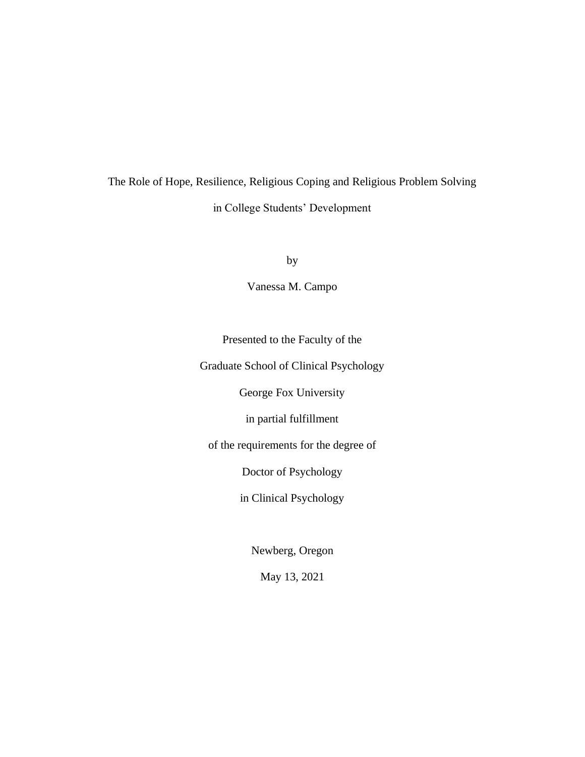# The Role of Hope, Resilience, Religious Coping and Religious Problem Solving in College Students' Development

by

Vanessa M. Campo

Presented to the Faculty of the

Graduate School of Clinical Psychology

George Fox University

in partial fulfillment

of the requirements for the degree of

Doctor of Psychology

in Clinical Psychology

Newberg, Oregon

May 13, 2021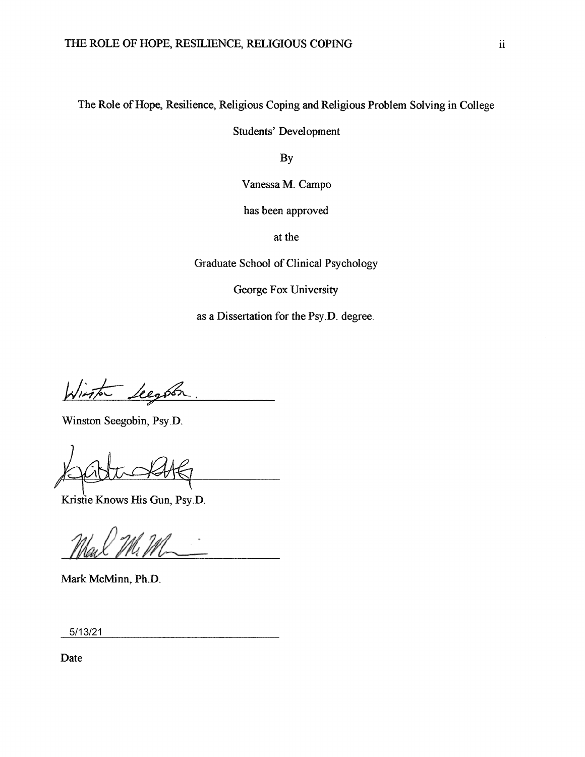# The Role of Hope, Resilience, Religious Coping and Religious Problem Solving in College

**Students' Development** 

By

Vanessa M. Campo

has been approved

at the

Graduate School of Clinical Psychology

George Fox University

as a Dissertation for the Psy.D. degree.

Winter Leegation

Winston Seegobin, Psy.D.

Kristie Knows His Gun, Psy.D.

Mark McMinn, Ph.D.

 $5/13/21$ 

Date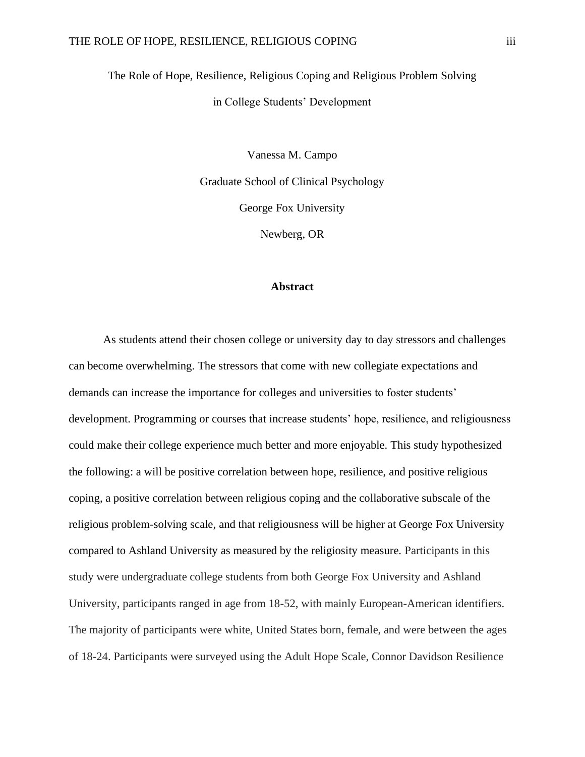The Role of Hope, Resilience, Religious Coping and Religious Problem Solving in College Students' Development

> Vanessa M. Campo Graduate School of Clinical Psychology George Fox University

> > Newberg, OR

# **Abstract**

As students attend their chosen college or university day to day stressors and challenges can become overwhelming. The stressors that come with new collegiate expectations and demands can increase the importance for colleges and universities to foster students' development. Programming or courses that increase students' hope, resilience, and religiousness could make their college experience much better and more enjoyable. This study hypothesized the following: a will be positive correlation between hope, resilience, and positive religious coping, a positive correlation between religious coping and the collaborative subscale of the religious problem-solving scale, and that religiousness will be higher at George Fox University compared to Ashland University as measured by the religiosity measure. Participants in this study were undergraduate college students from both George Fox University and Ashland University, participants ranged in age from 18-52, with mainly European-American identifiers. The majority of participants were white, United States born, female, and were between the ages of 18-24. Participants were surveyed using the Adult Hope Scale, Connor Davidson Resilience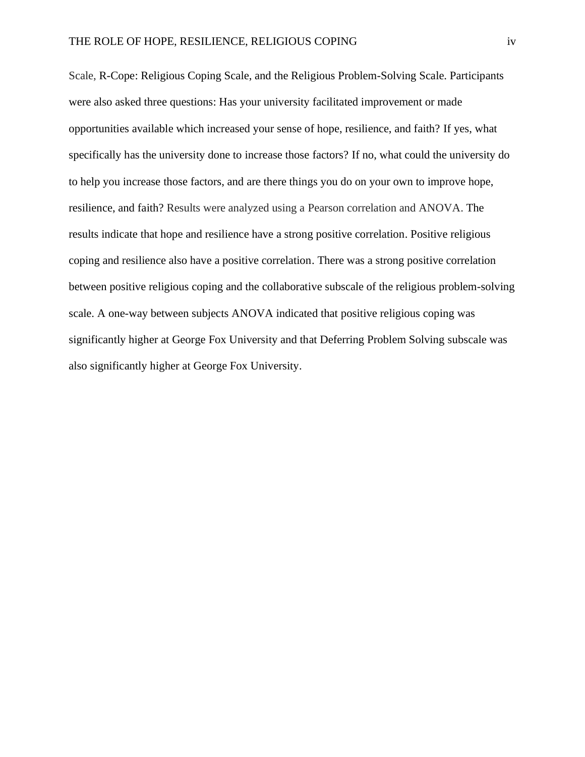Scale, R-Cope: Religious Coping Scale, and the Religious Problem-Solving Scale. Participants were also asked three questions: Has your university facilitated improvement or made opportunities available which increased your sense of hope, resilience, and faith? If yes, what specifically has the university done to increase those factors? If no, what could the university do to help you increase those factors, and are there things you do on your own to improve hope, resilience, and faith? Results were analyzed using a Pearson correlation and ANOVA. The results indicate that hope and resilience have a strong positive correlation. Positive religious coping and resilience also have a positive correlation. There was a strong positive correlation between positive religious coping and the collaborative subscale of the religious problem-solving scale. A one-way between subjects ANOVA indicated that positive religious coping was significantly higher at George Fox University and that Deferring Problem Solving subscale was also significantly higher at George Fox University.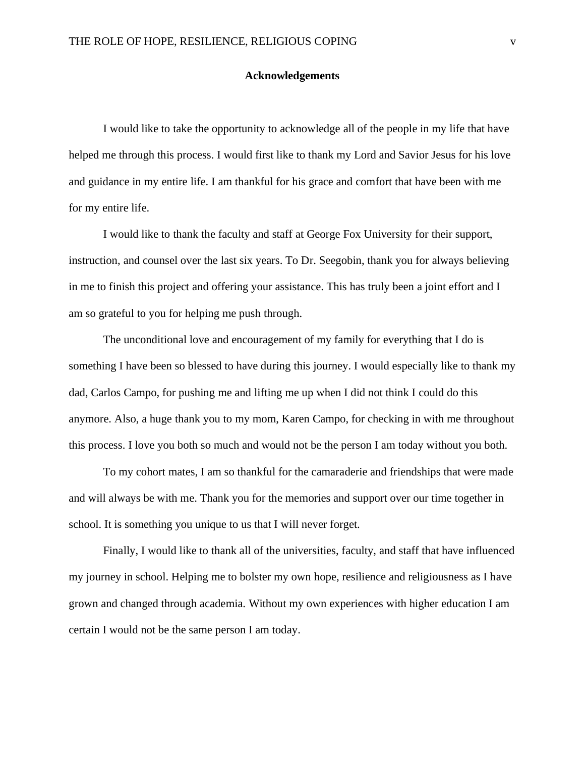# **Acknowledgements**

I would like to take the opportunity to acknowledge all of the people in my life that have helped me through this process. I would first like to thank my Lord and Savior Jesus for his love and guidance in my entire life. I am thankful for his grace and comfort that have been with me for my entire life.

I would like to thank the faculty and staff at George Fox University for their support, instruction, and counsel over the last six years. To Dr. Seegobin, thank you for always believing in me to finish this project and offering your assistance. This has truly been a joint effort and I am so grateful to you for helping me push through.

The unconditional love and encouragement of my family for everything that I do is something I have been so blessed to have during this journey. I would especially like to thank my dad, Carlos Campo, for pushing me and lifting me up when I did not think I could do this anymore. Also, a huge thank you to my mom, Karen Campo, for checking in with me throughout this process. I love you both so much and would not be the person I am today without you both.

To my cohort mates, I am so thankful for the camaraderie and friendships that were made and will always be with me. Thank you for the memories and support over our time together in school. It is something you unique to us that I will never forget.

Finally, I would like to thank all of the universities, faculty, and staff that have influenced my journey in school. Helping me to bolster my own hope, resilience and religiousness as I have grown and changed through academia. Without my own experiences with higher education I am certain I would not be the same person I am today.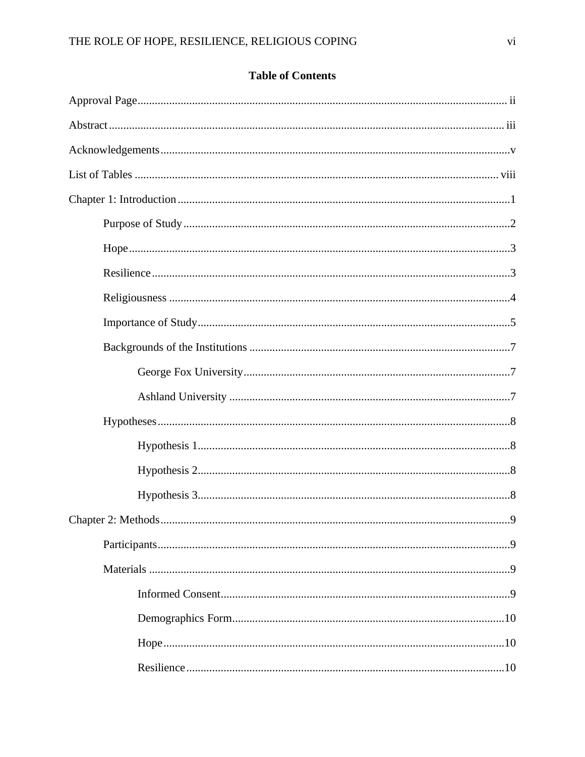# **Table of Contents**

| .9 |
|----|
|    |
|    |
|    |
|    |
|    |
|    |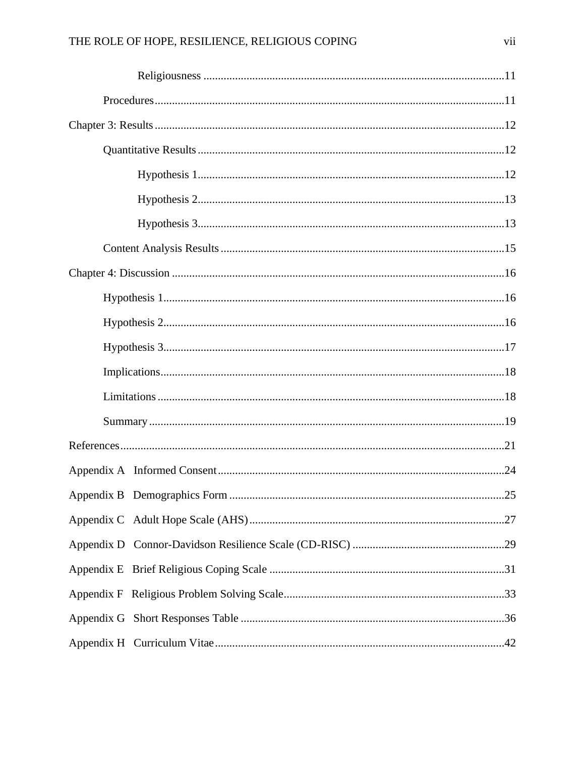|  | .25 |
|--|-----|
|  |     |
|  |     |
|  |     |
|  |     |
|  |     |
|  |     |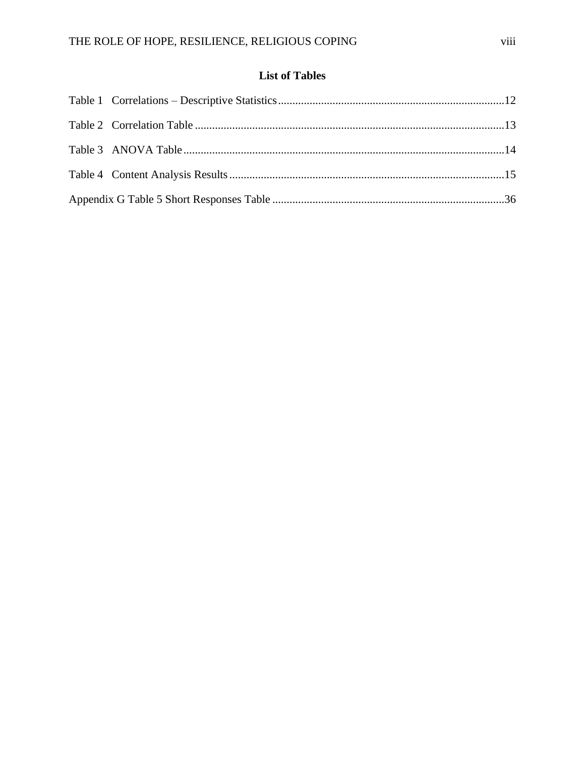# **List of Tables**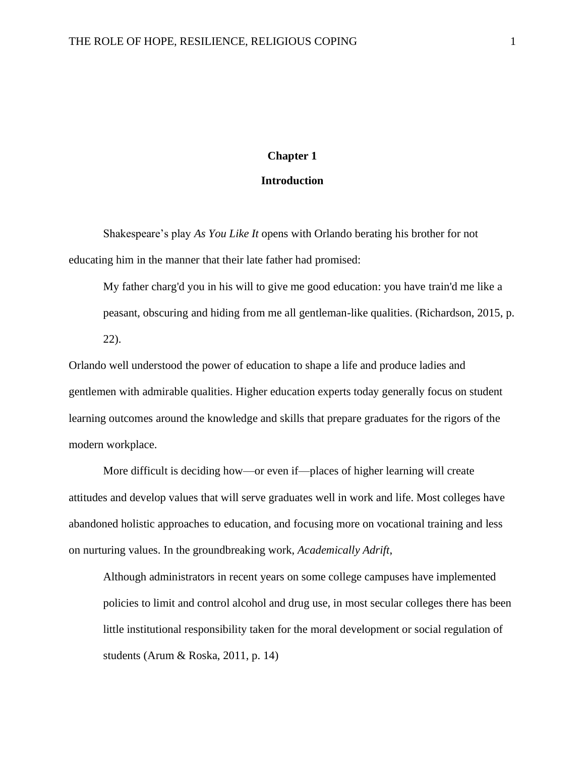# **Chapter 1**

# **Introduction**

Shakespeare's play *As You Like It* opens with Orlando berating his brother for not educating him in the manner that their late father had promised:

My father charg'd you in his will to give me good education: you have train'd me like a peasant, obscuring and hiding from me all gentleman-like qualities. (Richardson, 2015, p. 22).

Orlando well understood the power of education to shape a life and produce ladies and gentlemen with admirable qualities. Higher education experts today generally focus on student learning outcomes around the knowledge and skills that prepare graduates for the rigors of the modern workplace.

More difficult is deciding how—or even if—places of higher learning will create attitudes and develop values that will serve graduates well in work and life. Most colleges have abandoned holistic approaches to education, and focusing more on vocational training and less on nurturing values. In the groundbreaking work, *Academically Adrift*,

Although administrators in recent years on some college campuses have implemented policies to limit and control alcohol and drug use, in most secular colleges there has been little institutional responsibility taken for the moral development or social regulation of students (Arum & Roska, 2011, p. 14)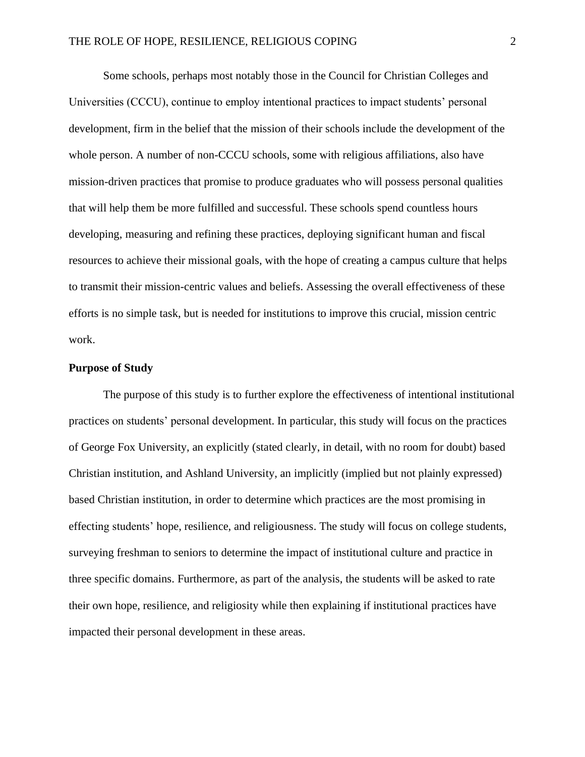Some schools, perhaps most notably those in the Council for Christian Colleges and Universities (CCCU), continue to employ intentional practices to impact students' personal development, firm in the belief that the mission of their schools include the development of the whole person. A number of non-CCCU schools, some with religious affiliations, also have mission-driven practices that promise to produce graduates who will possess personal qualities that will help them be more fulfilled and successful. These schools spend countless hours developing, measuring and refining these practices, deploying significant human and fiscal resources to achieve their missional goals, with the hope of creating a campus culture that helps to transmit their mission-centric values and beliefs. Assessing the overall effectiveness of these efforts is no simple task, but is needed for institutions to improve this crucial, mission centric work.

# **Purpose of Study**

The purpose of this study is to further explore the effectiveness of intentional institutional practices on students' personal development. In particular, this study will focus on the practices of George Fox University, an explicitly (stated clearly, in detail, with no room for doubt) based Christian institution, and Ashland University, an implicitly (implied but not plainly expressed) based Christian institution, in order to determine which practices are the most promising in effecting students' hope, resilience, and religiousness. The study will focus on college students, surveying freshman to seniors to determine the impact of institutional culture and practice in three specific domains. Furthermore, as part of the analysis, the students will be asked to rate their own hope, resilience, and religiosity while then explaining if institutional practices have impacted their personal development in these areas.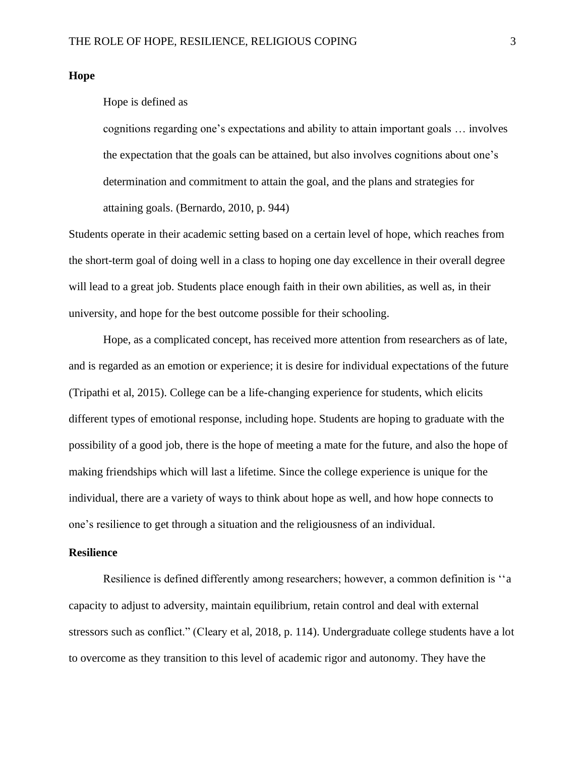#### **Hope**

# Hope is defined as

cognitions regarding one's expectations and ability to attain important goals … involves the expectation that the goals can be attained, but also involves cognitions about one's determination and commitment to attain the goal, and the plans and strategies for attaining goals. (Bernardo, 2010, p. 944)

Students operate in their academic setting based on a certain level of hope, which reaches from the short-term goal of doing well in a class to hoping one day excellence in their overall degree will lead to a great job. Students place enough faith in their own abilities, as well as, in their university, and hope for the best outcome possible for their schooling.

Hope, as a complicated concept, has received more attention from researchers as of late, and is regarded as an emotion or experience; it is desire for individual expectations of the future (Tripathi et al, 2015). College can be a life-changing experience for students, which elicits different types of emotional response, including hope. Students are hoping to graduate with the possibility of a good job, there is the hope of meeting a mate for the future, and also the hope of making friendships which will last a lifetime. Since the college experience is unique for the individual, there are a variety of ways to think about hope as well, and how hope connects to one's resilience to get through a situation and the religiousness of an individual.

# **Resilience**

Resilience is defined differently among researchers; however, a common definition is ''a capacity to adjust to adversity, maintain equilibrium, retain control and deal with external stressors such as conflict." (Cleary et al, 2018, p. 114). Undergraduate college students have a lot to overcome as they transition to this level of academic rigor and autonomy. They have the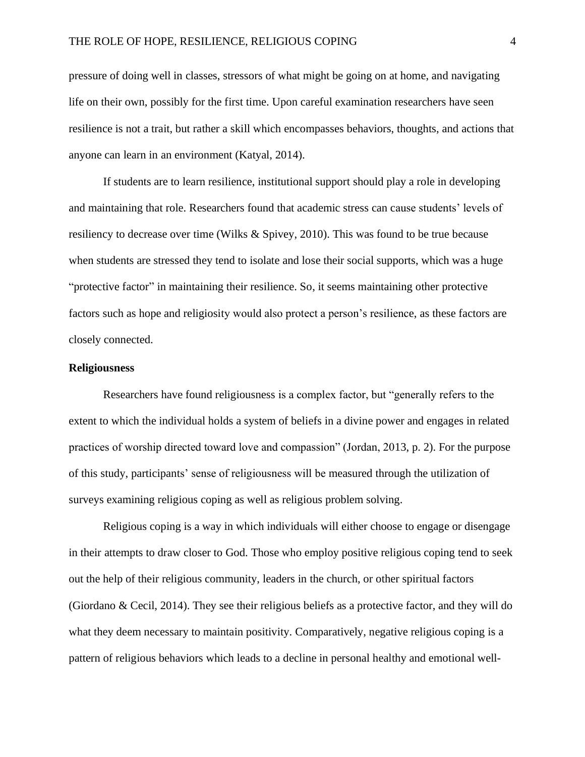pressure of doing well in classes, stressors of what might be going on at home, and navigating life on their own, possibly for the first time. Upon careful examination researchers have seen resilience is not a trait, but rather a skill which encompasses behaviors, thoughts, and actions that anyone can learn in an environment (Katyal, 2014).

If students are to learn resilience, institutional support should play a role in developing and maintaining that role. Researchers found that academic stress can cause students' levels of resiliency to decrease over time (Wilks & Spivey, 2010). This was found to be true because when students are stressed they tend to isolate and lose their social supports, which was a huge "protective factor" in maintaining their resilience. So, it seems maintaining other protective factors such as hope and religiosity would also protect a person's resilience, as these factors are closely connected.

# **Religiousness**

Researchers have found religiousness is a complex factor, but "generally refers to the extent to which the individual holds a system of beliefs in a divine power and engages in related practices of worship directed toward love and compassion" (Jordan, 2013, p. 2). For the purpose of this study, participants' sense of religiousness will be measured through the utilization of surveys examining religious coping as well as religious problem solving.

Religious coping is a way in which individuals will either choose to engage or disengage in their attempts to draw closer to God. Those who employ positive religious coping tend to seek out the help of their religious community, leaders in the church, or other spiritual factors (Giordano & Cecil, 2014). They see their religious beliefs as a protective factor, and they will do what they deem necessary to maintain positivity. Comparatively, negative religious coping is a pattern of religious behaviors which leads to a decline in personal healthy and emotional well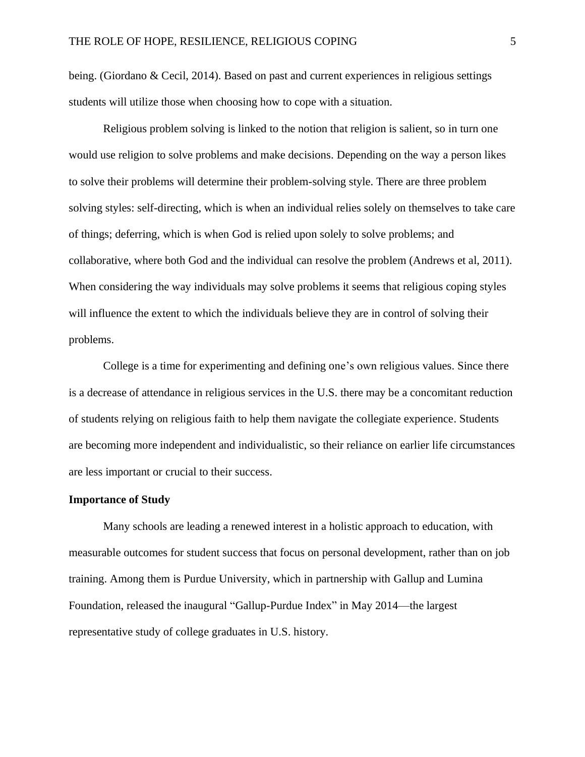being. (Giordano & Cecil, 2014). Based on past and current experiences in religious settings students will utilize those when choosing how to cope with a situation.

Religious problem solving is linked to the notion that religion is salient, so in turn one would use religion to solve problems and make decisions. Depending on the way a person likes to solve their problems will determine their problem-solving style. There are three problem solving styles: self-directing, which is when an individual relies solely on themselves to take care of things; deferring, which is when God is relied upon solely to solve problems; and collaborative, where both God and the individual can resolve the problem (Andrews et al, 2011). When considering the way individuals may solve problems it seems that religious coping styles will influence the extent to which the individuals believe they are in control of solving their problems.

College is a time for experimenting and defining one's own religious values. Since there is a decrease of attendance in religious services in the U.S. there may be a concomitant reduction of students relying on religious faith to help them navigate the collegiate experience. Students are becoming more independent and individualistic, so their reliance on earlier life circumstances are less important or crucial to their success.

# **Importance of Study**

Many schools are leading a renewed interest in a holistic approach to education, with measurable outcomes for student success that focus on personal development, rather than on job training. Among them is Purdue University, which in partnership with [Gallup](http://www.gallup.com/) and [Lumina](http://www.luminafoundation.org/)  [Foundation,](http://www.luminafoundation.org/) released the inaugural "Gallup-Purdue Index" in May 2014—the largest representative study of college graduates in U.S. history.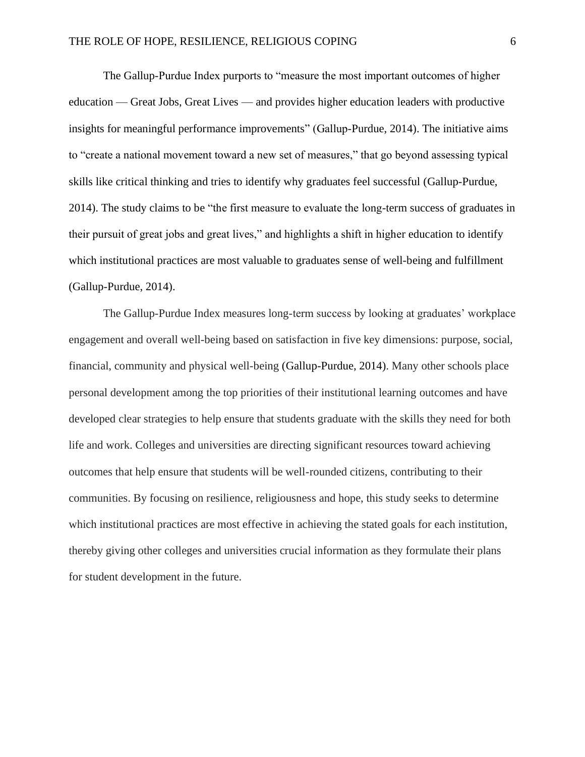The Gallup-Purdue Index purports to "measure the most important outcomes of higher education — Great Jobs, Great Lives — and provides higher education leaders with productive insights for meaningful performance improvements" (Gallup-Purdue, 2014). The initiative aims to "create a national movement toward a new set of measures," that go beyond assessing typical skills like critical thinking and tries to identify why graduates feel successful (Gallup-Purdue, 2014). The study claims to be "the first measure to evaluate the long-term success of graduates in their pursuit of great jobs and great lives," and highlights a shift in higher education to identify which institutional practices are most valuable to graduates sense of well-being and fulfillment (Gallup-Purdue, 2014).

The Gallup-Purdue Index measures long-term success by looking at graduates' workplace engagement and overall well-being based on satisfaction in five key dimensions: purpose, social, financial, community and physical well-being (Gallup-Purdue, 2014). Many other schools place personal development among the top priorities of their institutional learning outcomes and have developed clear strategies to help ensure that students graduate with the skills they need for both life and work. Colleges and universities are directing significant resources toward achieving outcomes that help ensure that students will be well-rounded citizens, contributing to their communities. By focusing on resilience, religiousness and hope, this study seeks to determine which institutional practices are most effective in achieving the stated goals for each institution, thereby giving other colleges and universities crucial information as they formulate their plans for student development in the future.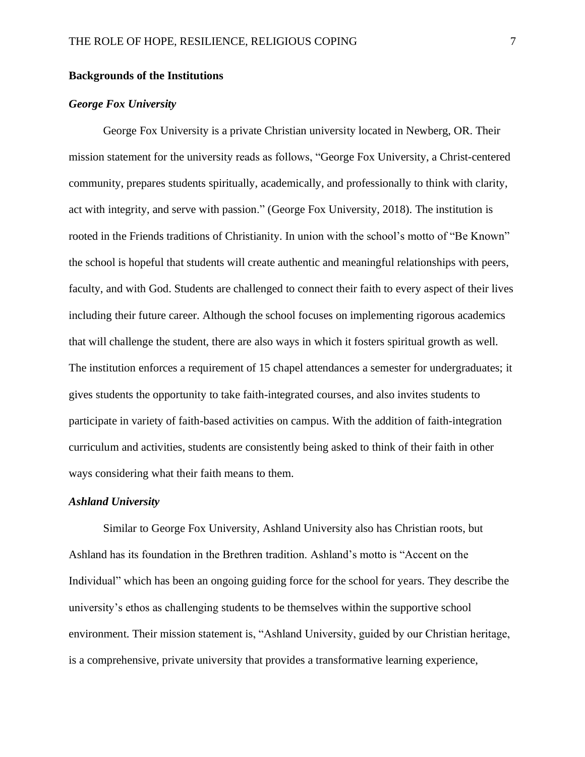# **Backgrounds of the Institutions**

# *George Fox University*

George Fox University is a private Christian university located in Newberg, OR. Their mission statement for the university reads as follows, "George Fox University, a Christ-centered community, prepares students spiritually, academically, and professionally to think with clarity, act with integrity, and serve with passion." (George Fox University, 2018). The institution is rooted in the Friends traditions of Christianity. In union with the school's motto of "Be Known" the school is hopeful that students will create authentic and meaningful relationships with peers, faculty, and with God. Students are challenged to connect their faith to every aspect of their lives including their future career. Although the school focuses on implementing rigorous academics that will challenge the student, there are also ways in which it fosters spiritual growth as well. The institution enforces a requirement of 15 chapel attendances a semester for undergraduates; it gives students the opportunity to take faith-integrated courses, and also invites students to participate in variety of faith-based activities on campus. With the addition of faith-integration curriculum and activities, students are consistently being asked to think of their faith in other ways considering what their faith means to them.

# *Ashland University*

Similar to George Fox University, Ashland University also has Christian roots, but Ashland has its foundation in the Brethren tradition. Ashland's motto is "Accent on the Individual" which has been an ongoing guiding force for the school for years. They describe the university's ethos as challenging students to be themselves within the supportive school environment. Their mission statement is, "Ashland University, guided by our Christian heritage, is a comprehensive, private university that provides a transformative learning experience,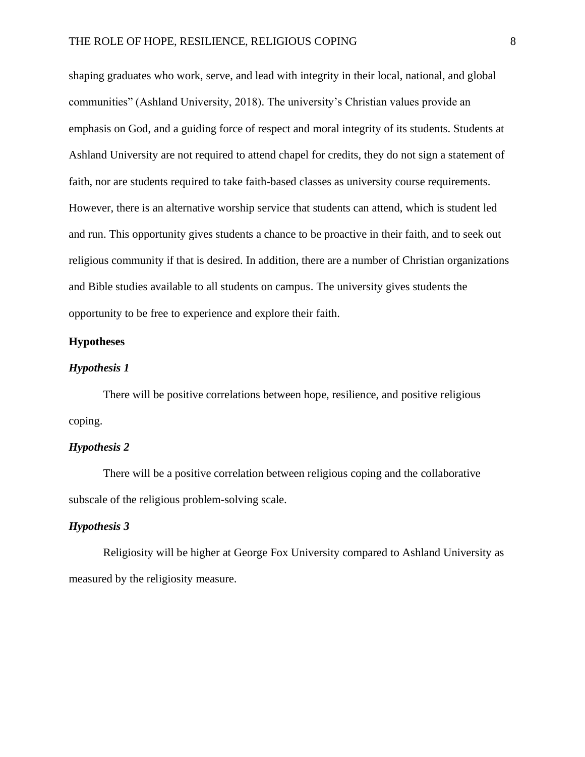shaping graduates who work, serve, and lead with integrity in their local, national, and global communities" (Ashland University, 2018). The university's Christian values provide an emphasis on God, and a guiding force of respect and moral integrity of its students. Students at Ashland University are not required to attend chapel for credits, they do not sign a statement of faith, nor are students required to take faith-based classes as university course requirements. However, there is an alternative worship service that students can attend, which is student led and run. This opportunity gives students a chance to be proactive in their faith, and to seek out religious community if that is desired. In addition, there are a number of Christian organizations and Bible studies available to all students on campus. The university gives students the opportunity to be free to experience and explore their faith.

# **Hypotheses**

# *Hypothesis 1*

There will be positive correlations between hope, resilience, and positive religious coping.

# *Hypothesis 2*

There will be a positive correlation between religious coping and the collaborative subscale of the religious problem-solving scale.

# *Hypothesis 3*

Religiosity will be higher at George Fox University compared to Ashland University as measured by the religiosity measure.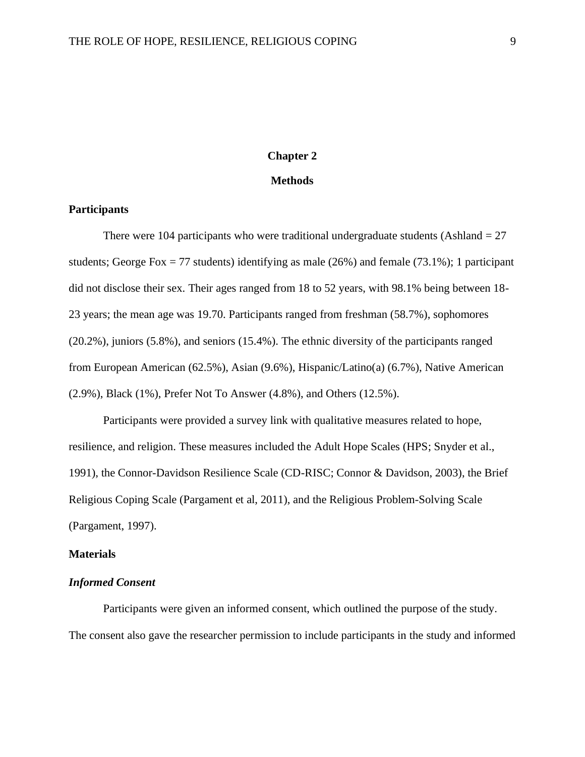# **Chapter 2**

#### **Methods**

# **Participants**

There were 104 participants who were traditional undergraduate students (Ashland  $= 27$ ) students; George Fox = 77 students) identifying as male  $(26%)$  and female  $(73.1%)$ ; 1 participant did not disclose their sex. Their ages ranged from 18 to 52 years, with 98.1% being between 18- 23 years; the mean age was 19.70. Participants ranged from freshman (58.7%), sophomores (20.2%), juniors (5.8%), and seniors (15.4%). The ethnic diversity of the participants ranged from European American (62.5%), Asian (9.6%), Hispanic/Latino(a) (6.7%), Native American (2.9%), Black (1%), Prefer Not To Answer (4.8%), and Others (12.5%).

Participants were provided a survey link with qualitative measures related to hope, resilience, and religion. These measures included the Adult Hope Scales (HPS; Snyder et al., 1991), the Connor-Davidson Resilience Scale (CD-RISC; Connor & Davidson, 2003), the Brief Religious Coping Scale (Pargament et al, 2011), and the Religious Problem-Solving Scale (Pargament, 1997).

# **Materials**

# *Informed Consent*

Participants were given an informed consent, which outlined the purpose of the study. The consent also gave the researcher permission to include participants in the study and informed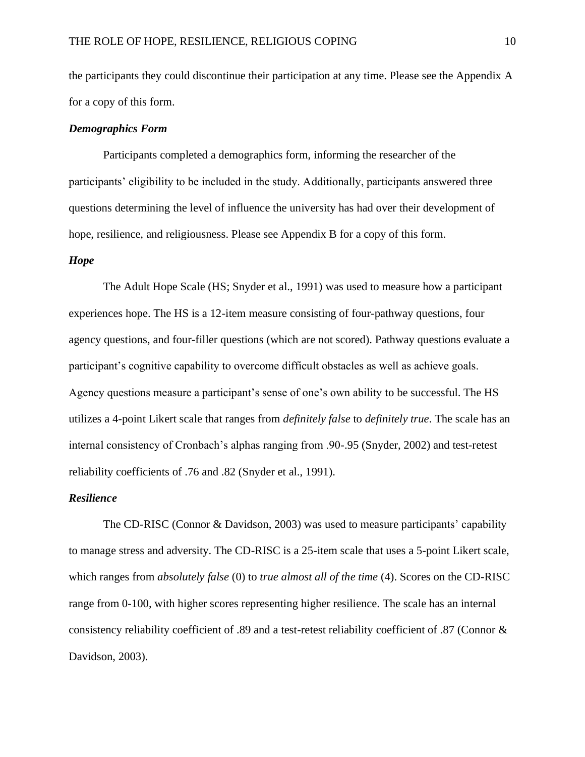the participants they could discontinue their participation at any time. Please see the Appendix A for a copy of this form.

# *Demographics Form*

Participants completed a demographics form, informing the researcher of the participants' eligibility to be included in the study. Additionally, participants answered three questions determining the level of influence the university has had over their development of hope, resilience, and religiousness. Please see Appendix B for a copy of this form.

# *Hope*

The Adult Hope Scale (HS; Snyder et al., 1991) was used to measure how a participant experiences hope. The HS is a 12-item measure consisting of four-pathway questions, four agency questions, and four-filler questions (which are not scored). Pathway questions evaluate a participant's cognitive capability to overcome difficult obstacles as well as achieve goals. Agency questions measure a participant's sense of one's own ability to be successful. The HS utilizes a 4-point Likert scale that ranges from *definitely false* to *definitely true*. The scale has an internal consistency of Cronbach's alphas ranging from .90-.95 (Snyder, 2002) and test-retest reliability coefficients of .76 and .82 (Snyder et al., 1991).

# *Resilience*

The CD-RISC (Connor & Davidson, 2003) was used to measure participants' capability to manage stress and adversity. The CD-RISC is a 25-item scale that uses a 5-point Likert scale, which ranges from *absolutely false* (0) to *true almost all of the time* (4). Scores on the CD-RISC range from 0-100, with higher scores representing higher resilience. The scale has an internal consistency reliability coefficient of .89 and a test-retest reliability coefficient of .87 (Connor & Davidson, 2003).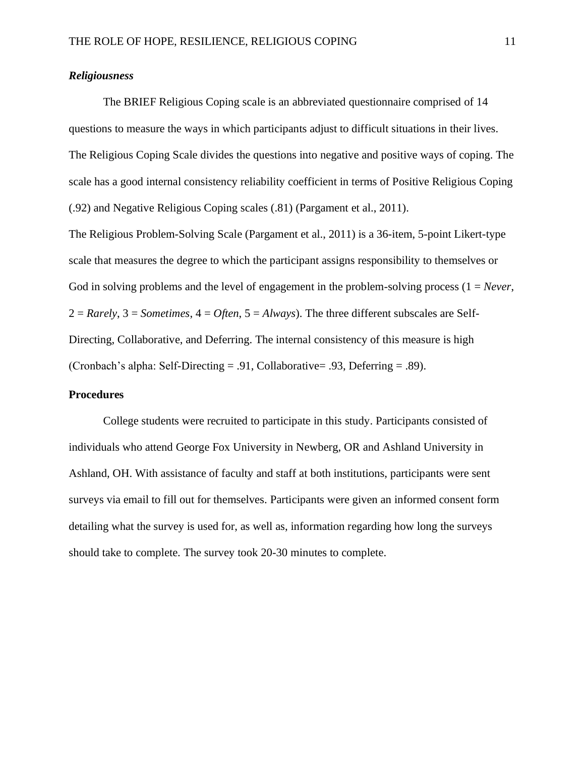# *Religiousness*

The BRIEF Religious Coping scale is an abbreviated questionnaire comprised of 14 questions to measure the ways in which participants adjust to difficult situations in their lives. The Religious Coping Scale divides the questions into negative and positive ways of coping. The scale has a good internal consistency reliability coefficient in terms of Positive Religious Coping (.92) and Negative Religious Coping scales (.81) (Pargament et al., 2011).

The Religious Problem-Solving Scale (Pargament et al., 2011) is a 36-item, 5-point Likert-type scale that measures the degree to which the participant assigns responsibility to themselves or God in solving problems and the level of engagement in the problem-solving process (1 = *Never*, 2 = *Rarely*, 3 = *Sometimes*, 4 = *Often*, 5 = *Always*). The three different subscales are Self-Directing, Collaborative, and Deferring. The internal consistency of this measure is high (Cronbach's alpha: Self-Directing = .91, Collaborative= .93, Deferring = .89).

# **Procedures**

College students were recruited to participate in this study. Participants consisted of individuals who attend George Fox University in Newberg, OR and Ashland University in Ashland, OH. With assistance of faculty and staff at both institutions, participants were sent surveys via email to fill out for themselves. Participants were given an informed consent form detailing what the survey is used for, as well as, information regarding how long the surveys should take to complete. The survey took 20-30 minutes to complete.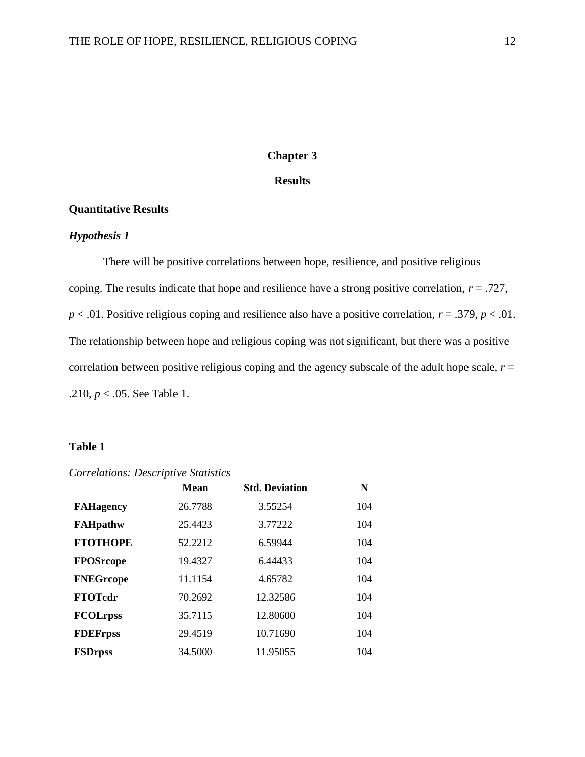# **Chapter 3**

# **Results**

#### **Quantitative Results**

# *Hypothesis 1*

There will be positive correlations between hope, resilience, and positive religious coping. The results indicate that hope and resilience have a strong positive correlation, *r* = .727,  $p < .01$ . Positive religious coping and resilience also have a positive correlation,  $r = .379$ ,  $p < .01$ . The relationship between hope and religious coping was not significant, but there was a positive correlation between positive religious coping and the agency subscale of the adult hope scale,  $r =$ .210, *p* < .05. See Table 1.

# **Table 1**

|                  | <b>Mean</b> | <b>Std. Deviation</b> | N   |  |
|------------------|-------------|-----------------------|-----|--|
| <b>FAHagency</b> | 26.7788     | 3.55254               | 104 |  |
| <b>FAHpathw</b>  | 25.4423     | 3.77222               | 104 |  |
| <b>FTOTHOPE</b>  | 52.2212     | 6.59944               | 104 |  |
| <b>FPOSrcope</b> | 19.4327     | 6.44433               | 104 |  |
| <b>FNEGrcope</b> | 11.1154     | 4.65782               | 104 |  |
| <b>FTOTcdr</b>   | 70.2692     | 12.32586              | 104 |  |
| <b>FCOLrpss</b>  | 35.7115     | 12.80600              | 104 |  |
| <b>FDEFrpss</b>  | 29.4519     | 10.71690              | 104 |  |
| <b>FSDrpss</b>   | 34.5000     | 11.95055              | 104 |  |

*Correlations: Descriptive Statistics*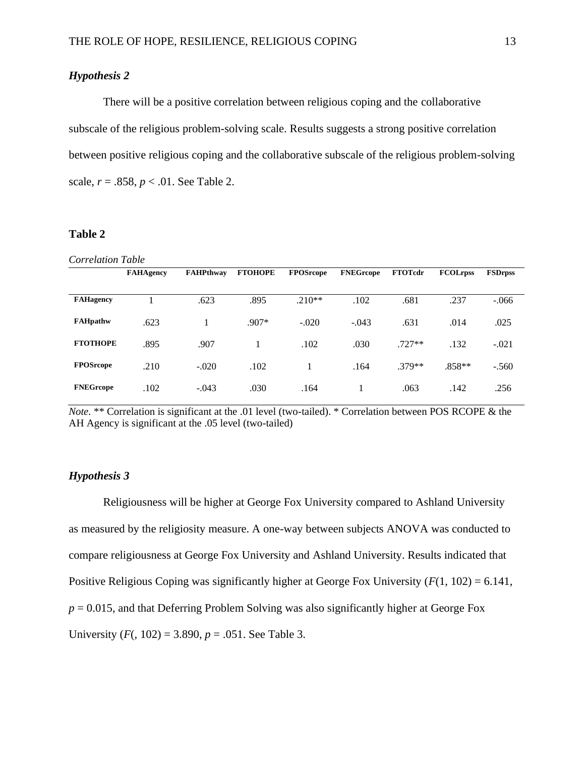# *Hypothesis 2*

There will be a positive correlation between religious coping and the collaborative subscale of the religious problem-solving scale. Results suggests a strong positive correlation between positive religious coping and the collaborative subscale of the religious problem-solving scale,  $r = .858$ ,  $p < .01$ . See Table 2.

#### **Table 2**

| <b>Correlation Table</b> |                  |                  |                |                  |                  |                |                 |                |
|--------------------------|------------------|------------------|----------------|------------------|------------------|----------------|-----------------|----------------|
|                          | <b>FAHAgency</b> | <b>FAHPthway</b> | <b>FTOHOPE</b> | <b>FPOSrcope</b> | <b>FNEGreope</b> | <b>FTOTcdr</b> | <b>FCOLrpss</b> | <b>FSDrpss</b> |
| <b>FAHagency</b>         |                  | .623             | .895           | $.210**$         | .102             | .681           | .237            | $-.066$        |
| <b>FAHpathw</b>          | .623             |                  | $.907*$        | $-.020$          | $-.043$          | .631           | .014            | .025           |
| <b>FTOTHOPE</b>          | .895             | .907             | 1              | .102             | .030             | $.727**$       | .132            | $-.021$        |
| <b>FPOSrcope</b>         | .210             | $-.020$          | .102           |                  | .164             | .379**         | $.858**$        | $-.560$        |
| <b>FNEGreope</b>         | .102             | $-.043$          | .030           | .164             | -1               | .063           | .142            | .256           |

*Note.* \*\* Correlation is significant at the .01 level (two-tailed). \* Correlation between POS RCOPE & the AH Agency is significant at the .05 level (two-tailed)

# *Hypothesis 3*

Religiousness will be higher at George Fox University compared to Ashland University as measured by the religiosity measure. A one-way between subjects ANOVA was conducted to compare religiousness at George Fox University and Ashland University. Results indicated that Positive Religious Coping was significantly higher at George Fox University (*F*(1, 102) = 6.141,  $p = 0.015$ , and that Deferring Problem Solving was also significantly higher at George Fox University  $(F(, 102) = 3.890, p = .051$ . See Table 3.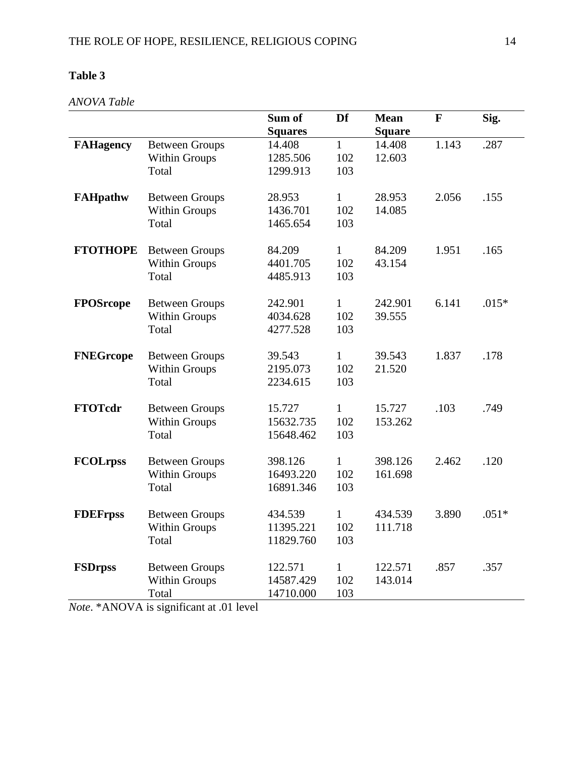# **Table 3**

*ANOVA Table*

|                  |                       | Sum of         | Df           | <b>Mean</b>   | $\mathbf{F}$ | Sig.    |
|------------------|-----------------------|----------------|--------------|---------------|--------------|---------|
|                  |                       | <b>Squares</b> |              | <b>Square</b> |              |         |
| <b>FAHagency</b> | <b>Between Groups</b> | 14.408         | $\mathbf{1}$ | 14.408        | 1.143        | .287    |
|                  | <b>Within Groups</b>  | 1285.506       | 102          | 12.603        |              |         |
|                  | Total                 | 1299.913       | 103          |               |              |         |
|                  |                       |                |              |               |              |         |
| <b>FAHpathw</b>  | <b>Between Groups</b> | 28.953         | $\mathbf{1}$ | 28.953        | 2.056        | .155    |
|                  | <b>Within Groups</b>  | 1436.701       | 102          | 14.085        |              |         |
|                  | Total                 | 1465.654       | 103          |               |              |         |
|                  |                       |                |              |               |              |         |
| <b>FTOTHOPE</b>  | <b>Between Groups</b> | 84.209         | $\mathbf{1}$ | 84.209        | 1.951        | .165    |
|                  | Within Groups         | 4401.705       | 102          | 43.154        |              |         |
|                  | Total                 | 4485.913       | 103          |               |              |         |
|                  |                       |                |              |               |              |         |
| <b>FPOSrcope</b> | <b>Between Groups</b> | 242.901        | $\mathbf{1}$ | 242.901       | 6.141        | $.015*$ |
|                  | <b>Within Groups</b>  | 4034.628       | 102          | 39.555        |              |         |
|                  | Total                 | 4277.528       | 103          |               |              |         |
|                  |                       |                |              |               |              |         |
| <b>FNEGrcope</b> | <b>Between Groups</b> | 39.543         | $\mathbf{1}$ | 39.543        | 1.837        | .178    |
|                  | Within Groups         | 2195.073       | 102          | 21.520        |              |         |
|                  | Total                 | 2234.615       | 103          |               |              |         |
|                  |                       |                |              |               |              |         |
| <b>FTOTcdr</b>   | <b>Between Groups</b> | 15.727         | $\mathbf{1}$ | 15.727        | .103         | .749    |
|                  | <b>Within Groups</b>  | 15632.735      | 102          | 153.262       |              |         |
|                  | Total                 | 15648.462      | 103          |               |              |         |
|                  |                       |                |              |               |              |         |
| <b>FCOLrpss</b>  | <b>Between Groups</b> | 398.126        | $\mathbf{1}$ | 398.126       | 2.462        | .120    |
|                  | <b>Within Groups</b>  | 16493.220      | 102          | 161.698       |              |         |
|                  | Total                 | 16891.346      | 103          |               |              |         |
|                  |                       |                |              |               |              |         |
| <b>FDEFrpss</b>  | <b>Between Groups</b> | 434.539        | $\mathbf{1}$ | 434.539       | 3.890        | $.051*$ |
|                  | <b>Within Groups</b>  | 11395.221      | 102          | 111.718       |              |         |
|                  | Total                 | 11829.760      | 103          |               |              |         |
|                  |                       |                |              |               |              |         |
| <b>FSDrpss</b>   | <b>Between Groups</b> | 122.571        | $\mathbf{1}$ | 122.571       | .857         | .357    |
|                  | <b>Within Groups</b>  | 14587.429      | 102          | 143.014       |              |         |
|                  | Total                 | 14710.000      | 103          |               |              |         |

*Note*. \*ANOVA is significant at .01 level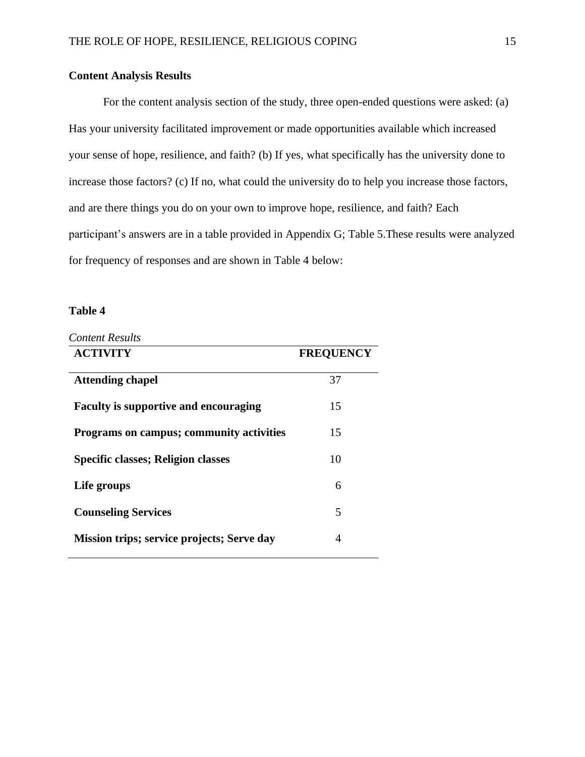# **Content Analysis Results**

For the content analysis section of the study, three open-ended questions were asked: (a) Has your university facilitated improvement or made opportunities available which increased your sense of hope, resilience, and faith? (b) If yes, what specifically has the university done to increase those factors? (c) If no, what could the university do to help you increase those factors, and are there things you do on your own to improve hope, resilience, and faith? Each participant's answers are in a table provided in Appendix G; Table 5.These results were analyzed for frequency of responses and are shown in Table 4 below:

# **Table 4**

| <b>ACTIVITY</b>                                 | <b>FREQUENCY</b> |
|-------------------------------------------------|------------------|
| <b>Attending chapel</b>                         | 37               |
| <b>Faculty is supportive and encouraging</b>    | 15               |
| <b>Programs on campus; community activities</b> | 15               |
| Specific classes; Religion classes              | 10               |
| Life groups                                     | 6                |
| <b>Counseling Services</b>                      | 5                |
| Mission trips; service projects; Serve day      | 4                |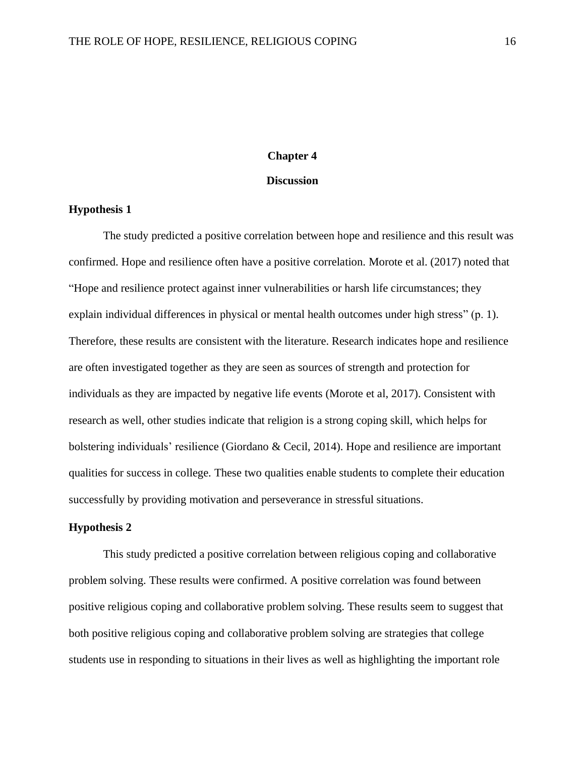#### **Chapter 4**

# **Discussion**

# **Hypothesis 1**

The study predicted a positive correlation between hope and resilience and this result was confirmed. Hope and resilience often have a positive correlation. Morote et al. (2017) noted that "Hope and resilience protect against inner vulnerabilities or harsh life circumstances; they explain individual differences in physical or mental health outcomes under high stress" (p. 1). Therefore, these results are consistent with the literature. Research indicates hope and resilience are often investigated together as they are seen as sources of strength and protection for individuals as they are impacted by negative life events (Morote et al, 2017). Consistent with research as well, other studies indicate that religion is a strong coping skill, which helps for bolstering individuals' resilience (Giordano & Cecil, 2014). Hope and resilience are important qualities for success in college. These two qualities enable students to complete their education successfully by providing motivation and perseverance in stressful situations.

# **Hypothesis 2**

This study predicted a positive correlation between religious coping and collaborative problem solving. These results were confirmed. A positive correlation was found between positive religious coping and collaborative problem solving. These results seem to suggest that both positive religious coping and collaborative problem solving are strategies that college students use in responding to situations in their lives as well as highlighting the important role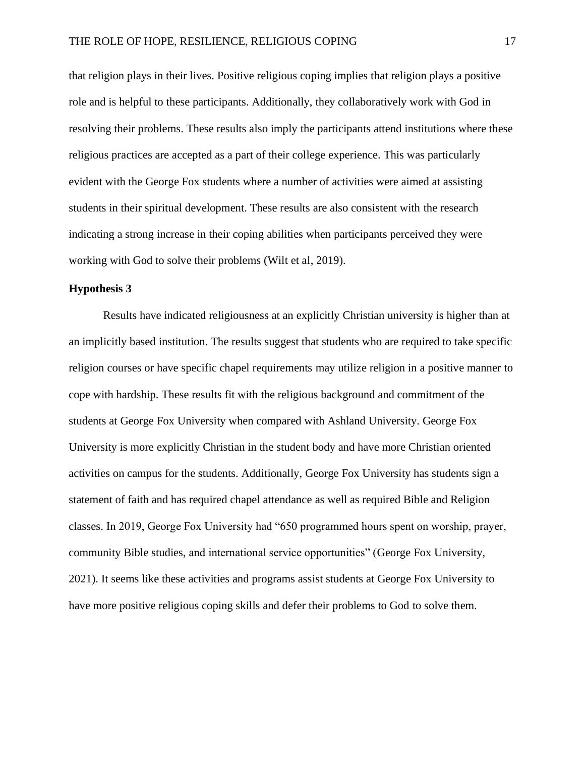that religion plays in their lives. Positive religious coping implies that religion plays a positive role and is helpful to these participants. Additionally, they collaboratively work with God in resolving their problems. These results also imply the participants attend institutions where these religious practices are accepted as a part of their college experience. This was particularly evident with the George Fox students where a number of activities were aimed at assisting students in their spiritual development. These results are also consistent with the research indicating a strong increase in their coping abilities when participants perceived they were working with God to solve their problems (Wilt et al, 2019).

# **Hypothesis 3**

Results have indicated religiousness at an explicitly Christian university is higher than at an implicitly based institution. The results suggest that students who are required to take specific religion courses or have specific chapel requirements may utilize religion in a positive manner to cope with hardship. These results fit with the religious background and commitment of the students at George Fox University when compared with Ashland University. George Fox University is more explicitly Christian in the student body and have more Christian oriented activities on campus for the students. Additionally, George Fox University has students sign a statement of faith and has required chapel attendance as well as required Bible and Religion classes. In 2019, George Fox University had "650 programmed hours spent on worship, prayer, community Bible studies, and international service opportunities" [\(George](https://www.georgefox.edu/about/quick_facts/index.html) Fox University, 2021). It seems like these activities and programs assist students at George Fox University to have more positive religious coping skills and defer their problems to God to solve them.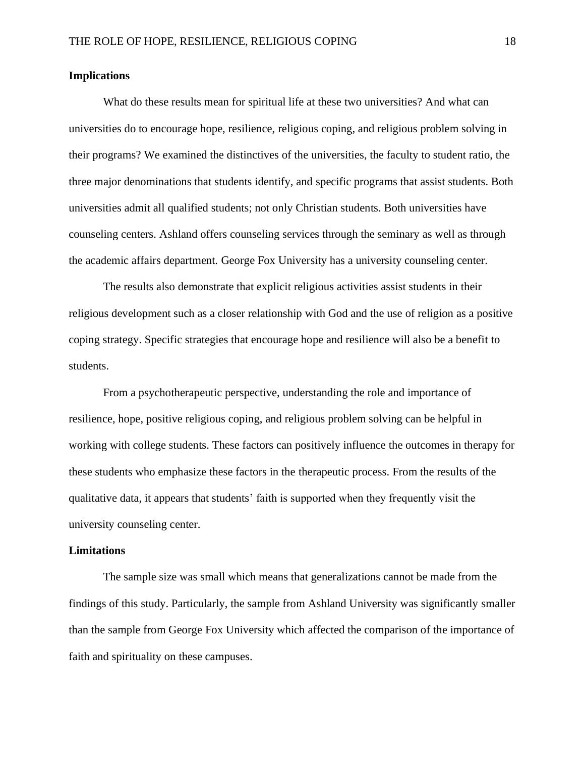# **Implications**

What do these results mean for spiritual life at these two universities? And what can universities do to encourage hope, resilience, religious coping, and religious problem solving in their programs? We examined the distinctives of the universities, the faculty to student ratio, the three major denominations that students identify, and specific programs that assist students. Both universities admit all qualified students; not only Christian students. Both universities have counseling centers. Ashland offers counseling services through the seminary as well as through the academic affairs department. George Fox University has a university counseling center.

The results also demonstrate that explicit religious activities assist students in their religious development such as a closer relationship with God and the use of religion as a positive coping strategy. Specific strategies that encourage hope and resilience will also be a benefit to students.

From a psychotherapeutic perspective, understanding the role and importance of resilience, hope, positive religious coping, and religious problem solving can be helpful in working with college students. These factors can positively influence the outcomes in therapy for these students who emphasize these factors in the therapeutic process. From the results of the qualitative data, it appears that students' faith is supported when they frequently visit the university counseling center.

#### **Limitations**

The sample size was small which means that generalizations cannot be made from the findings of this study. Particularly, the sample from Ashland University was significantly smaller than the sample from George Fox University which affected the comparison of the importance of faith and spirituality on these campuses.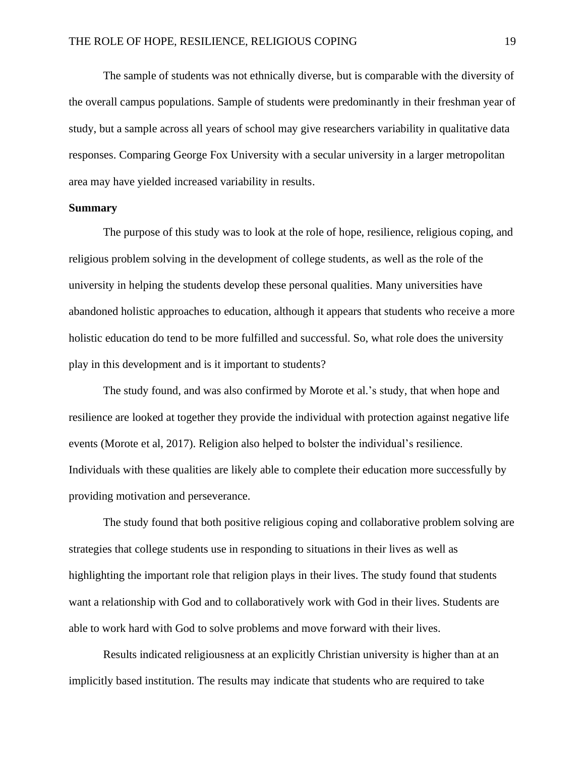The sample of students was not ethnically diverse, but is comparable with the diversity of the overall campus populations. Sample of students were predominantly in their freshman year of study, but a sample across all years of school may give researchers variability in qualitative data responses. Comparing George Fox University with a secular university in a larger metropolitan area may have yielded increased variability in results.

# **Summary**

The purpose of this study was to look at the role of hope, resilience, religious coping, and religious problem solving in the development of college students, as well as the role of the university in helping the students develop these personal qualities. Many universities have abandoned holistic approaches to education, although it appears that students who receive a more holistic education do tend to be more fulfilled and successful. So, what role does the university play in this development and is it important to students?

The study found, and was also confirmed by Morote et al.'s study, that when hope and resilience are looked at together they provide the individual with protection against negative life events (Morote et al, 2017). Religion also helped to bolster the individual's resilience. Individuals with these qualities are likely able to complete their education more successfully by providing motivation and perseverance.

The study found that both positive religious coping and collaborative problem solving are strategies that college students use in responding to situations in their lives as well as highlighting the important role that religion plays in their lives. The study found that students want a relationship with God and to collaboratively work with God in their lives. Students are able to work hard with God to solve problems and move forward with their lives.

Results indicated religiousness at an explicitly Christian university is higher than at an implicitly based institution. The results may indicate that students who are required to take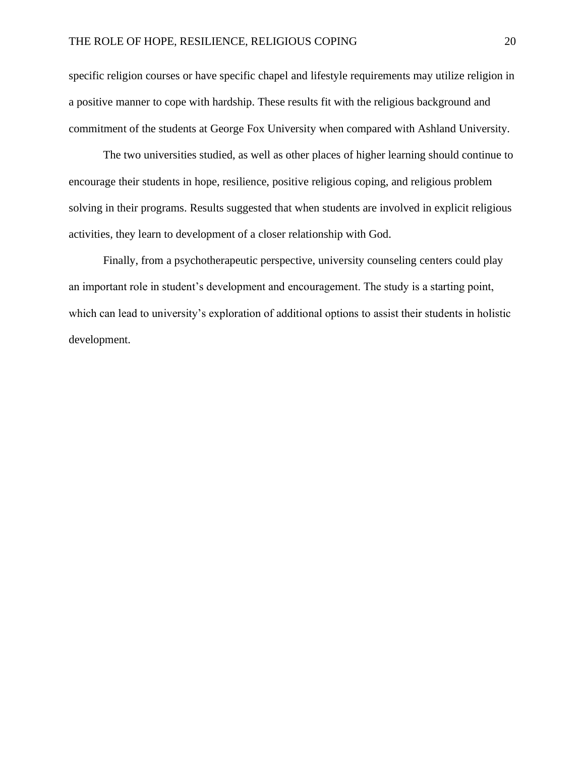specific religion courses or have specific chapel and lifestyle requirements may utilize religion in a positive manner to cope with hardship. These results fit with the religious background and commitment of the students at George Fox University when compared with Ashland University.

The two universities studied, as well as other places of higher learning should continue to encourage their students in hope, resilience, positive religious coping, and religious problem solving in their programs. Results suggested that when students are involved in explicit religious activities, they learn to development of a closer relationship with God.

Finally, from a psychotherapeutic perspective, university counseling centers could play an important role in student's development and encouragement. The study is a starting point, which can lead to university's exploration of additional options to assist their students in holistic development.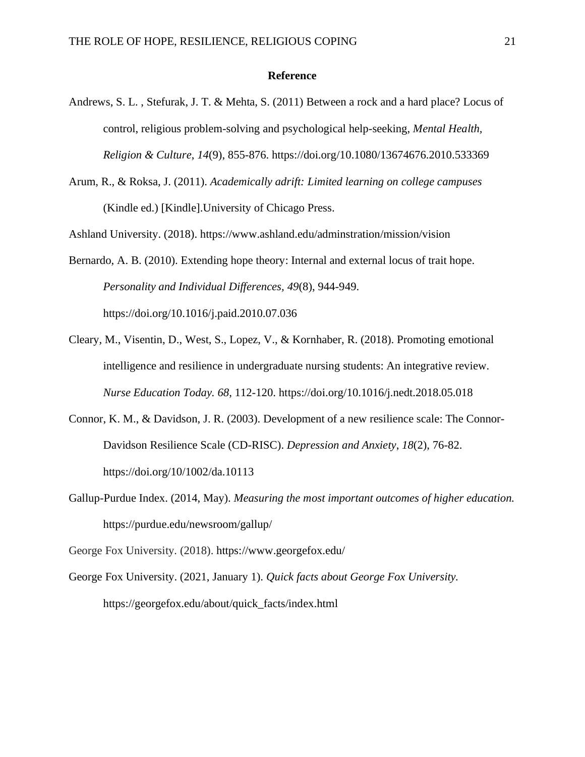# **Reference**

- Andrews, S. L. , Stefurak, J. T. & Mehta, S. (2011) Between a rock and a hard place? Locus of control, religious problem-solving and psychological help-seeking, *Mental Health, Religion & Culture*, *14*(9), 855-876. https://doi.org/10.1080/13674676.2010.533369
- Arum, R., & Roksa, J. (2011). *Academically adrift: Limited learning on college campuses* (Kindle ed.) [Kindle].University of Chicago Press.

Ashland University. (2018). https://www.ashland.edu/adminstration/mission/vision

Bernardo, A. B. (2010). Extending hope theory: Internal and external locus of trait hope. *Personality and Individual Differences, 49*(8), 944-949. https://doi.org/10.1016/j.paid.2010.07.036

- Cleary, M., Visentin, D., West, S., Lopez, V., & Kornhaber, R. (2018). Promoting emotional intelligence and resilience in undergraduate nursing students: An integrative review. *Nurse Education Today. 68*, 112-120. https://doi.org/10.1016/j.nedt.2018.05.018
- Connor, K. M., & Davidson, J. R. (2003). Development of a new resilience scale: The Connor-Davidson Resilience Scale (CD-RISC). *Depression and Anxiety*, *18*(2), 76-82. <https://doi.org/10/1002/da.10113>
- Gallup-Purdue Index. (2014, May). *Measuring the most important outcomes of higher education.*  https://purdue.edu/newsroom/gallup/

George Fox University*.* (2018).<https://www.georgefox.edu/>

George Fox University. (2021, January 1). *Quick facts about George Fox University.*  https://georgefox.edu/about/quick\_facts/index.html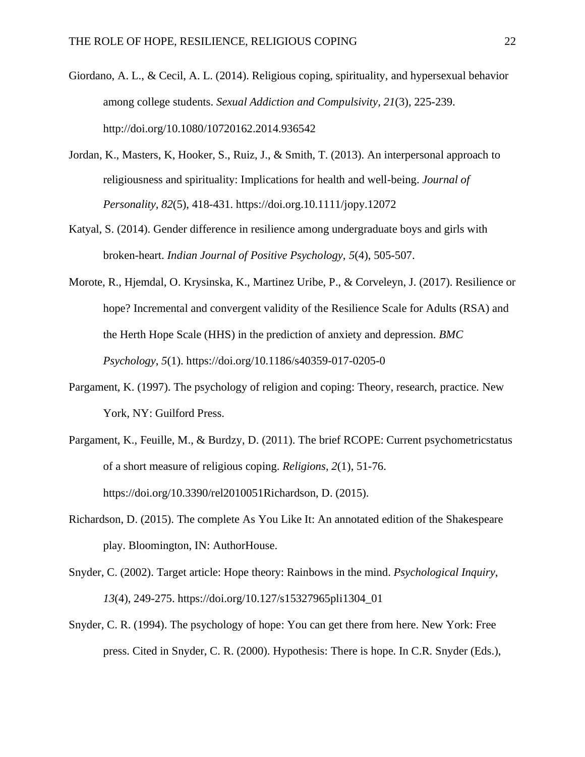- Giordano, A. L., & Cecil, A. L. (2014). Religious coping, spirituality, and hypersexual behavior among college students. *Sexual Addiction and Compulsivity, 21*(3), 225-239. <http://doi.org/10.1080/10720162.2014.936542>
- Jordan, K., Masters, K, Hooker, S., Ruiz, J., & Smith, T. (2013). An interpersonal approach to religiousness and spirituality: Implications for health and well-being. *Journal of Personality, 82*(5), 418-431. https://doi.org.10.1111/jopy.12072
- Katyal, S. (2014). Gender difference in resilience among undergraduate boys and girls with broken-heart. *Indian Journal of Positive Psychology, 5*(4), 505-507.
- Morote, R., Hjemdal, O. Krysinska, K., Martinez Uribe, P., & Corveleyn, J. (2017). Resilience or hope? Incremental and convergent validity of the Resilience Scale for Adults (RSA) and the Herth Hope Scale (HHS) in the prediction of anxiety and depression. *BMC Psychology*, *5*(1).<https://doi.org/10.1186/s40359-017-0205-0>
- Pargament, K. (1997). The psychology of religion and coping: Theory, research, practice*.* New York, NY: Guilford Press.
- Pargament, K., Feuille, M., & Burdzy, D. (2011). The brief RCOPE: Current psychometricstatus of a short measure of religious coping. *Religions*, *2*(1), 51-76. https://doi.org/10.3390/rel2010051Richardson, D. (2015).
- Richardson, D. (2015). The complete As You Like It: An annotated edition of the Shakespeare play. Bloomington, IN: AuthorHouse.
- Snyder, C. (2002). Target article: Hope theory: Rainbows in the mind. *Psychological Inquiry*, *13*(4), 249-275. https://doi.org/10.127/s15327965pli1304\_01
- Snyder, C. R. (1994). The psychology of hope: You can get there from here. New York: Free press. Cited in Snyder, C. R. (2000). Hypothesis: There is hope. In C.R. Snyder (Eds.),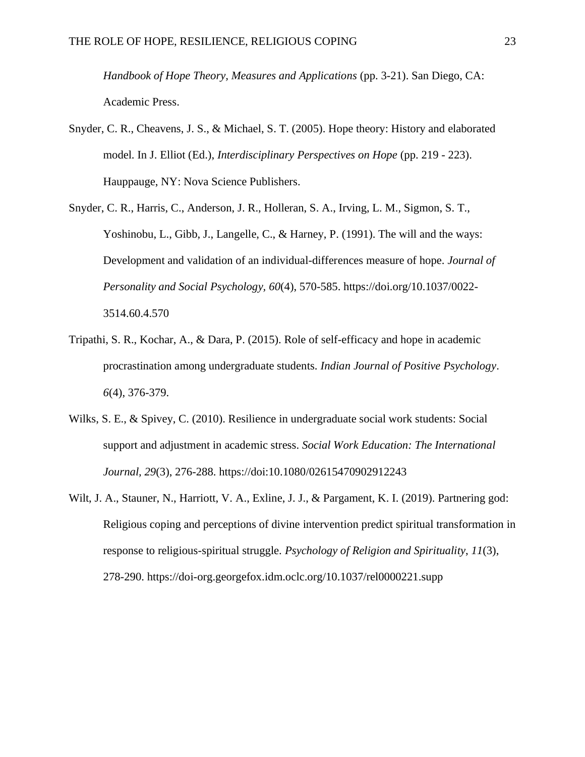*Handbook of Hope Theory, Measures and Applications* (pp. 3-21). San Diego, CA: Academic Press.

- Snyder, C. R., Cheavens, J. S., & Michael, S. T. (2005). Hope theory: History and elaborated model. In J. Elliot (Ed.), *Interdisciplinary Perspectives on Hope* (pp. 219 - 223). Hauppauge, NY: Nova Science Publishers.
- Snyder, C. R., Harris, C., Anderson, J. R., Holleran, S. A., Irving, L. M., Sigmon, S. T., Yoshinobu, L., Gibb, J., Langelle, C., & Harney, P. (1991). The will and the ways: Development and validation of an individual-differences measure of hope. *Journal of Personality and Social Psychology, 60*(4), 570-585. https://doi.org/10.1037/0022- 3514.60.4.570
- Tripathi, S. R., Kochar, A., & Dara, P. (2015). Role of self-efficacy and hope in academic procrastination among undergraduate students. *Indian Journal of Positive Psychology*. *6*(4), 376-379.
- Wilks, S. E., & Spivey, C. (2010). Resilience in undergraduate social work students: Social support and adjustment in academic stress. *Social Work Education: The International Journal, 29*(3), 276-288.<https://doi:10.1080/02615470902912243>
- Wilt, J. A., Stauner, N., Harriott, V. A., Exline, J. J., & Pargament, K. I. (2019). Partnering god: Religious coping and perceptions of divine intervention predict spiritual transformation in response to religious-spiritual struggle. *Psychology of Religion and Spirituality*, *11*(3), 278-290.<https://doi-org.georgefox.idm.oclc.org/10.1037/rel0000221.supp>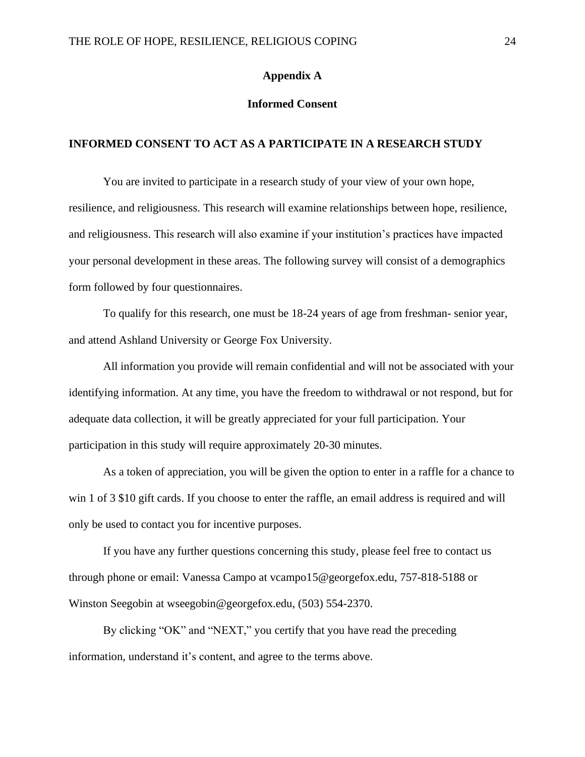# **Appendix A**

# **Informed Consent**

# **INFORMED CONSENT TO ACT AS A PARTICIPATE IN A RESEARCH STUDY**

You are invited to participate in a research study of your view of your own hope, resilience, and religiousness. This research will examine relationships between hope, resilience, and religiousness. This research will also examine if your institution's practices have impacted your personal development in these areas. The following survey will consist of a demographics form followed by four questionnaires.

To qualify for this research, one must be 18-24 years of age from freshman- senior year, and attend Ashland University or George Fox University.

All information you provide will remain confidential and will not be associated with your identifying information. At any time, you have the freedom to withdrawal or not respond, but for adequate data collection, it will be greatly appreciated for your full participation. Your participation in this study will require approximately 20-30 minutes.

As a token of appreciation, you will be given the option to enter in a raffle for a chance to win 1 of 3 \$10 gift cards. If you choose to enter the raffle, an email address is required and will only be used to contact you for incentive purposes.

If you have any further questions concerning this study, please feel free to contact us through phone or email: Vanessa Campo at vcampo15@georgefox.edu, 757-818-5188 or Winston Seegobin at wseegobin@georgefox.edu, (503) 554-2370.

By clicking "OK" and "NEXT," you certify that you have read the preceding information, understand it's content, and agree to the terms above.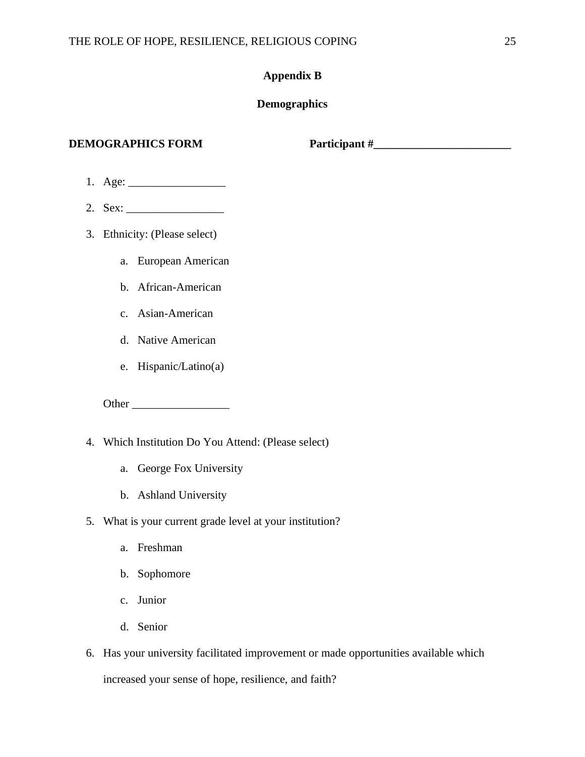# **Appendix B**

# **Demographics**

**DEMOGRAPHICS FORM Participant #\_\_\_\_\_\_\_\_\_\_\_\_\_\_\_\_\_\_\_\_\_\_\_\_**

- 1. Age: \_\_\_\_\_\_\_\_\_\_\_\_\_\_\_\_\_
- 2. Sex: \_\_\_\_\_\_\_\_\_\_\_\_\_\_\_\_\_
- 3. Ethnicity: (Please select)
	- a. European American
	- b. African-American
	- c. Asian-American
	- d. Native American
	- e. Hispanic/Latino(a)

Other \_\_\_\_\_\_\_\_\_\_\_\_\_\_\_\_\_

- 4. Which Institution Do You Attend: (Please select)
	- a. George Fox University
	- b. Ashland University
- 5. What is your current grade level at your institution?
	- a. Freshman
	- b. Sophomore
	- c. Junior
	- d. Senior
- 6. Has your university facilitated improvement or made opportunities available which increased your sense of hope, resilience, and faith?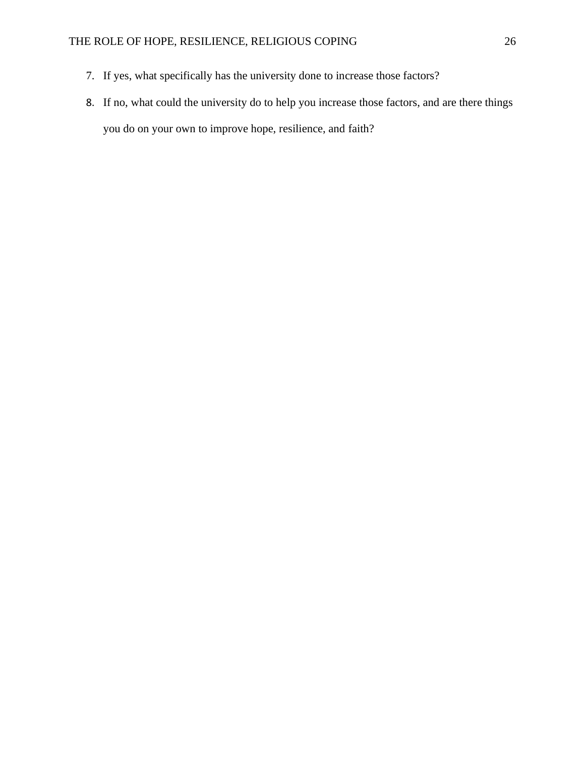- 7. If yes, what specifically has the university done to increase those factors?
- 8. If no, what could the university do to help you increase those factors, and are there things you do on your own to improve hope, resilience, and faith?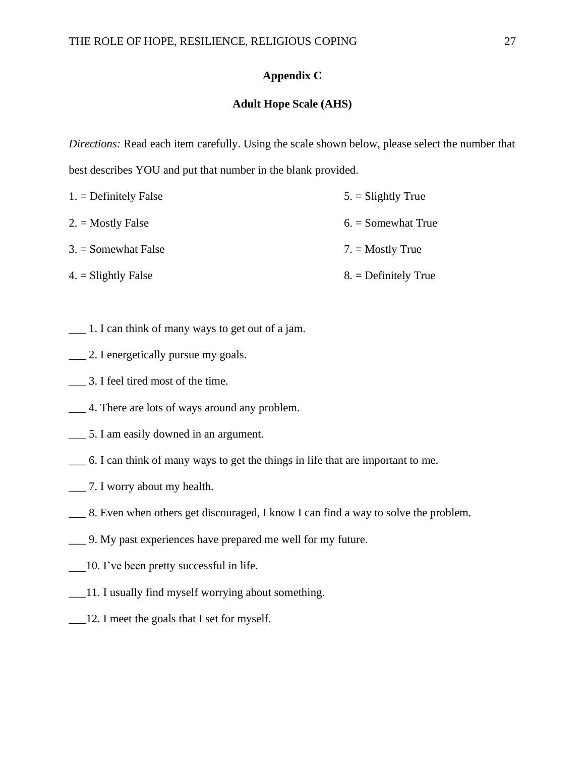# **Appendix C**

# **Adult Hope Scale (AHS)**

*Directions:* Read each item carefully. Using the scale shown below, please select the number that best describes YOU and put that number in the blank provided.

| $1. =$ Definitely False | $5. =$ Slightly True   |
|-------------------------|------------------------|
| $2. =$ Mostly False     | $6. =$ Somewhat True   |
| $3. =$ Somewhat False   | $7. =$ Mostly True     |
| $4. =$ Slightly False   | $8. =$ Definitely True |

- $\Box$  1. I can think of many ways to get out of a jam.
- \_\_\_ 2. I energetically pursue my goals.
- \_\_\_ 3. I feel tired most of the time.
- \_\_\_ 4. There are lots of ways around any problem.
- \_\_\_ 5. I am easily downed in an argument.
- \_\_\_ 6. I can think of many ways to get the things in life that are important to me.
- \_\_\_ 7. I worry about my health.
- \_\_\_ 8. Even when others get discouraged, I know I can find a way to solve the problem.
- \_\_\_ 9. My past experiences have prepared me well for my future.
- \_\_\_10. I've been pretty successful in life.
- \_\_\_11. I usually find myself worrying about something.
- \_\_\_12. I meet the goals that I set for myself.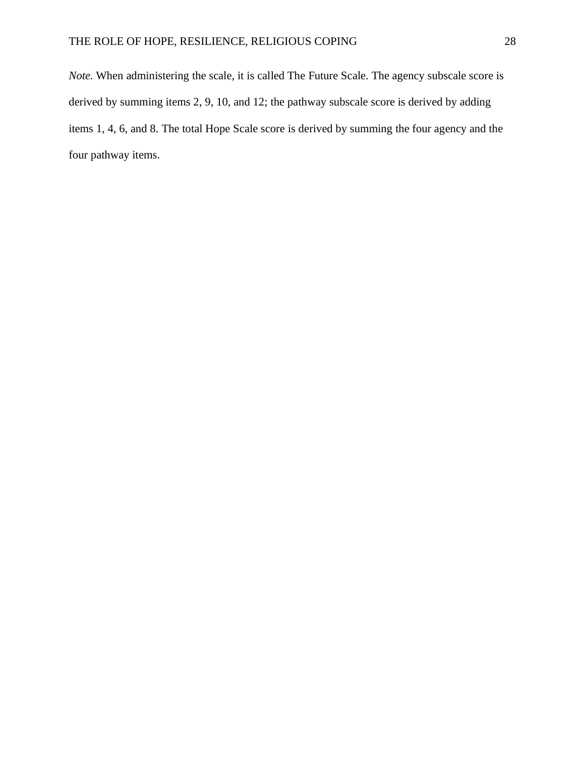*Note.* When administering the scale, it is called The Future Scale. The agency subscale score is derived by summing items 2, 9, 10, and 12; the pathway subscale score is derived by adding items 1, 4, 6, and 8. The total Hope Scale score is derived by summing the four agency and the four pathway items.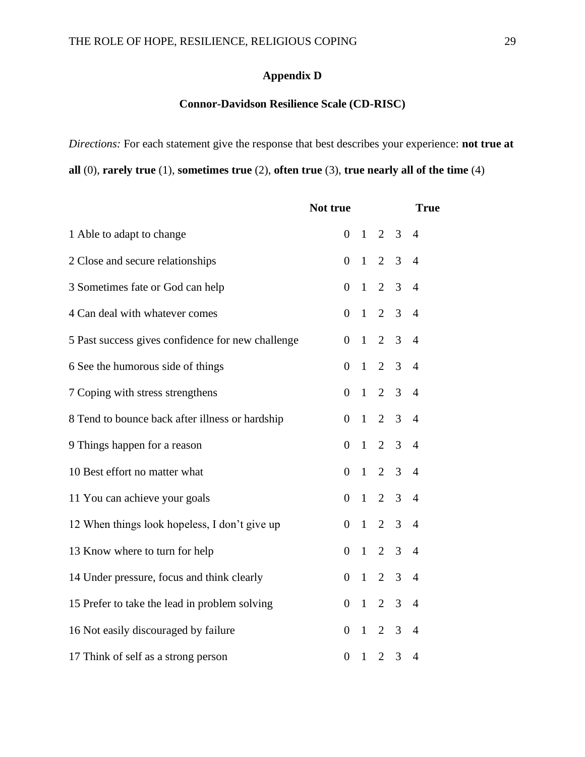# **Appendix D**

# **Connor-Davidson Resilience Scale (CD-RISC)**

*Directions:* For each statement give the response that best describes your experience: **not true at all** (0), **rarely true** (1), **sometimes true** (2), **often true** (3), **true nearly all of the time** (4)

|                                                   | Not true         |              |                |                | <b>True</b>    |  |
|---------------------------------------------------|------------------|--------------|----------------|----------------|----------------|--|
| 1 Able to adapt to change                         | $\overline{0}$   | $\mathbf{1}$ | 2              | 3              | $\overline{4}$ |  |
| 2 Close and secure relationships                  | $\overline{0}$   | $\mathbf{1}$ | $\overline{2}$ | 3              | $\overline{4}$ |  |
| 3 Sometimes fate or God can help                  | $\overline{0}$   | $\mathbf{1}$ | $\overline{2}$ | 3              | $\overline{4}$ |  |
| 4 Can deal with whatever comes                    | $\overline{0}$   | $\mathbf{1}$ | $\overline{2}$ | 3              | $\overline{4}$ |  |
| 5 Past success gives confidence for new challenge | $\overline{0}$   | $\mathbf{1}$ | $\overline{2}$ | 3              | $\overline{4}$ |  |
| 6 See the humorous side of things                 | $\boldsymbol{0}$ | $\mathbf{1}$ | $\overline{2}$ | 3              | $\overline{4}$ |  |
| 7 Coping with stress strengthens                  | $\overline{0}$   | $\mathbf{1}$ | $\overline{2}$ | 3              | $\overline{4}$ |  |
| 8 Tend to bounce back after illness or hardship   | $\overline{0}$   | $\mathbf{1}$ | $\overline{2}$ | 3              | $\overline{4}$ |  |
| 9 Things happen for a reason                      | $\overline{0}$   | $\mathbf{1}$ | 2              | $\overline{3}$ | $\overline{4}$ |  |
| 10 Best effort no matter what                     | $\overline{0}$   | $\mathbf{1}$ | $\overline{2}$ | 3              | $\overline{4}$ |  |
| 11 You can achieve your goals                     | $\overline{0}$   | $\mathbf{1}$ | $\overline{2}$ | 3              | $\overline{4}$ |  |
| 12 When things look hopeless, I don't give up     | $\overline{0}$   | $\mathbf{1}$ | $\overline{2}$ | 3              | $\overline{4}$ |  |
| 13 Know where to turn for help                    | $\boldsymbol{0}$ | $\mathbf{1}$ | $\overline{2}$ | 3              | $\overline{4}$ |  |
| 14 Under pressure, focus and think clearly        | $\boldsymbol{0}$ | $\mathbf{1}$ | $\overline{2}$ | 3              | $\overline{4}$ |  |
| 15 Prefer to take the lead in problem solving     | $\overline{0}$   | $\mathbf{1}$ | $\overline{2}$ | 3              | $\overline{4}$ |  |
| 16 Not easily discouraged by failure              | $\theta$         | $\mathbf{1}$ | $\overline{2}$ | 3              | $\overline{4}$ |  |
| 17 Think of self as a strong person               | $\overline{0}$   | $\mathbf{1}$ | $\overline{2}$ | 3              | $\overline{4}$ |  |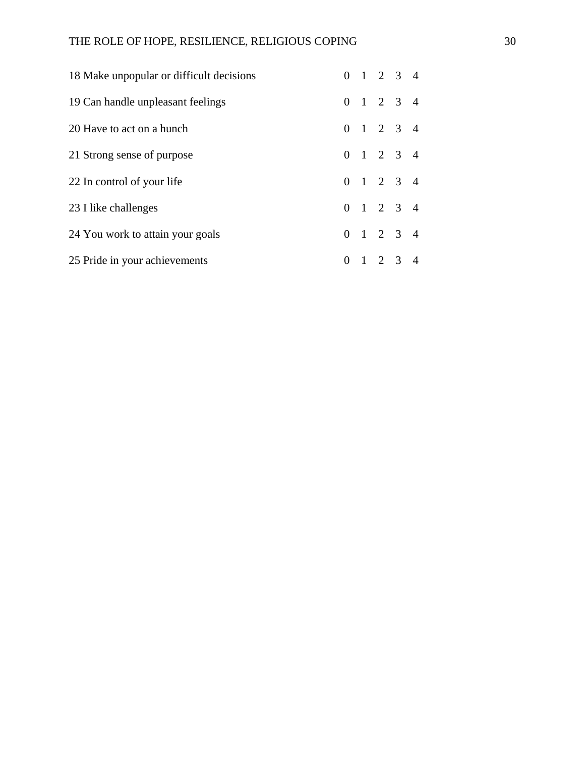| 18 Make unpopular or difficult decisions |          | $0 \t1 \t2 \t3 \t4$ |  |
|------------------------------------------|----------|---------------------|--|
| 19 Can handle unpleasant feelings        |          | $0 \t1 \t2 \t3 \t4$ |  |
| 20 Have to act on a hunch                |          | $0 \t1 \t2 \t3 \t4$ |  |
| 21 Strong sense of purpose               |          | $0 \t1 \t2 \t3 \t4$ |  |
| 22 In control of your life               |          | $0 \t1 \t2 \t3 \t4$ |  |
| 23 I like challenges                     |          | $0 \t1 \t2 \t3 \t4$ |  |
| 24 You work to attain your goals         |          | $0 \t1 \t2 \t3 \t4$ |  |
| 25 Pride in your achievements            | $\Omega$ | $1 \t2 \t3 \t4$     |  |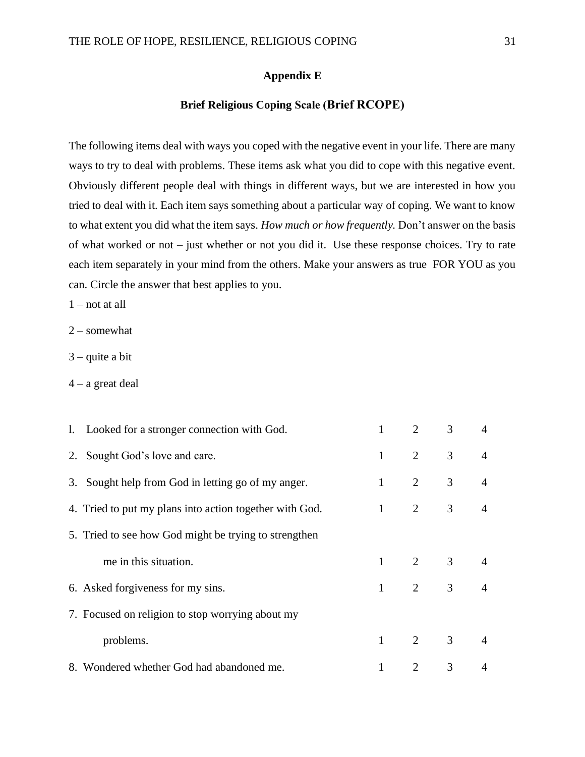# **Appendix E**

# **Brief Religious Coping Scale (Brief RCOPE)**

The following items deal with ways you coped with the negative event in your life. There are many ways to try to deal with problems. These items ask what you did to cope with this negative event. Obviously different people deal with things in different ways, but we are interested in how you tried to deal with it. Each item says something about a particular way of coping. We want to know to what extent you did what the item says. *How much or how frequently.* Don't answer on the basis of what worked or not – just whether or not you did it. Use these response choices. Try to rate each item separately in your mind from the others. Make your answers as true FOR YOU as you can. Circle the answer that best applies to you.

1 – not at all

2 – somewhat

3 – quite a bit

 $4 - a$  great deal

| 1. Looked for a stronger connection with God.           |                | $\mathcal{D}_{\mathcal{L}}$ | 3                   | $\overline{4}$ |
|---------------------------------------------------------|----------------|-----------------------------|---------------------|----------------|
| 2. Sought God's love and care.                          | $\mathbf{1}$   | $\overline{2}$              | 3                   | $\overline{4}$ |
| 3. Sought help from God in letting go of my anger.      | $\mathbf{1}$   | 2                           | 3 <sup>7</sup>      | $\overline{4}$ |
| 4. Tried to put my plans into action together with God. | $\mathbf{1}$   | $\overline{2}$              | $\mathfrak{Z}$      | $\overline{4}$ |
| 5. Tried to see how God might be trying to strengthen   |                |                             |                     |                |
| me in this situation.                                   | $\overline{1}$ | $\overline{2}$              | 3 <sup>7</sup>      | $\overline{4}$ |
| 6. Asked forgiveness for my sins.                       | $\mathbf{1}$   |                             | $2 \qquad \qquad 3$ | $\overline{4}$ |
| 7. Focused on religion to stop worrying about my        |                |                             |                     |                |
| problems.                                               | $\mathbf{1}$   | $\overline{2}$              | $\mathfrak{Z}$      | $\overline{4}$ |
| 8. Wondered whether God had abandoned me.               | 1              | 2                           | 3                   | $\overline{4}$ |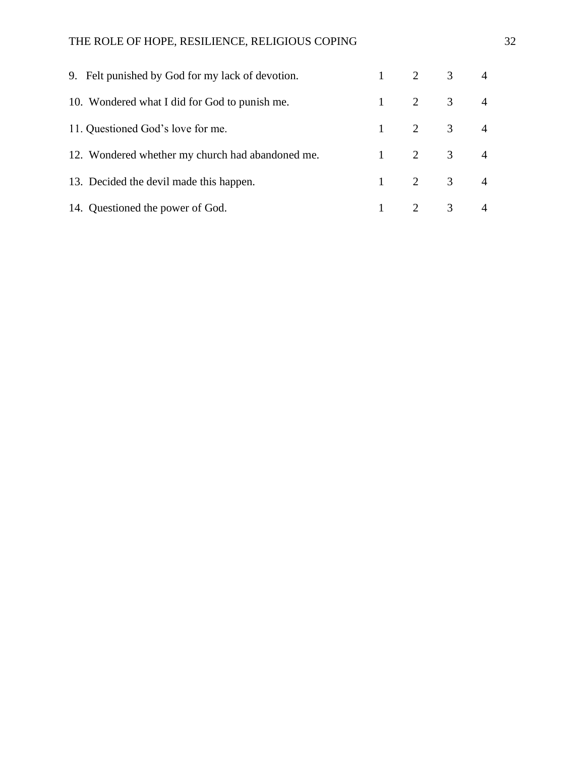| 9. Felt punished by God for my lack of devotion. |  | $1 \t 2 \t 3 \t 4$             |  |
|--------------------------------------------------|--|--------------------------------|--|
| 10. Wondered what I did for God to punish me.    |  | $1 \qquad 2 \qquad 3 \qquad 4$ |  |
| 11. Questioned God's love for me.                |  | $1 \qquad 2 \qquad 3 \qquad 4$ |  |
| 12. Wondered whether my church had abandoned me. |  | $1 \qquad 2 \qquad 3 \qquad 4$ |  |
| 13. Decided the devil made this happen.          |  | $1 \qquad 2 \qquad 3 \qquad 4$ |  |
| 14. Questioned the power of God.                 |  | $1 \qquad 2 \qquad 3 \qquad 4$ |  |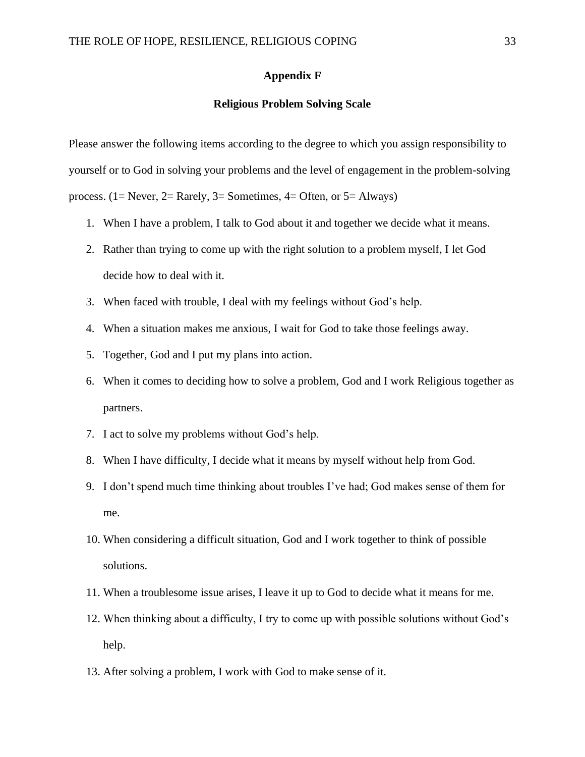# **Appendix F**

# **Religious Problem Solving Scale**

Please answer the following items according to the degree to which you assign responsibility to yourself or to God in solving your problems and the level of engagement in the problem-solving process. (1= Never, 2= Rarely, 3= Sometimes, 4= Often, or 5= Always)

- 1. When I have a problem, I talk to God about it and together we decide what it means.
- 2. Rather than trying to come up with the right solution to a problem myself, I let God decide how to deal with it.
- 3. When faced with trouble, I deal with my feelings without God's help.
- 4. When a situation makes me anxious, I wait for God to take those feelings away.
- 5. Together, God and I put my plans into action.
- 6. When it comes to deciding how to solve a problem, God and I work Religious together as partners.
- 7. I act to solve my problems without God's help.
- 8. When I have difficulty, I decide what it means by myself without help from God.
- 9. I don't spend much time thinking about troubles I've had; God makes sense of them for me.
- 10. When considering a difficult situation, God and I work together to think of possible solutions.
- 11. When a troublesome issue arises, I leave it up to God to decide what it means for me.
- 12. When thinking about a difficulty, I try to come up with possible solutions without God's help.
- 13. After solving a problem, I work with God to make sense of it.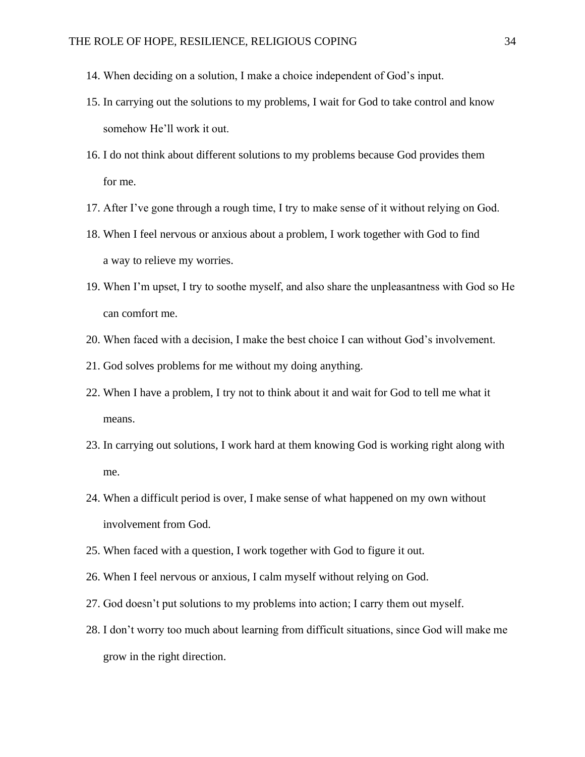- 14. When deciding on a solution, I make a choice independent of God's input.
- 15. In carrying out the solutions to my problems, I wait for God to take control and know somehow He'll work it out.
- 16. I do not think about different solutions to my problems because God provides them for me.
- 17. After I've gone through a rough time, I try to make sense of it without relying on God.
- 18. When I feel nervous or anxious about a problem, I work together with God to find a way to relieve my worries.
- 19. When I'm upset, I try to soothe myself, and also share the unpleasantness with God so He can comfort me.
- 20. When faced with a decision, I make the best choice I can without God's involvement.
- 21. God solves problems for me without my doing anything.
- 22. When I have a problem, I try not to think about it and wait for God to tell me what it means.
- 23. In carrying out solutions, I work hard at them knowing God is working right along with me.
- 24. When a difficult period is over, I make sense of what happened on my own without involvement from God.
- 25. When faced with a question, I work together with God to figure it out.
- 26. When I feel nervous or anxious, I calm myself without relying on God.
- 27. God doesn't put solutions to my problems into action; I carry them out myself.
- 28. I don't worry too much about learning from difficult situations, since God will make me grow in the right direction.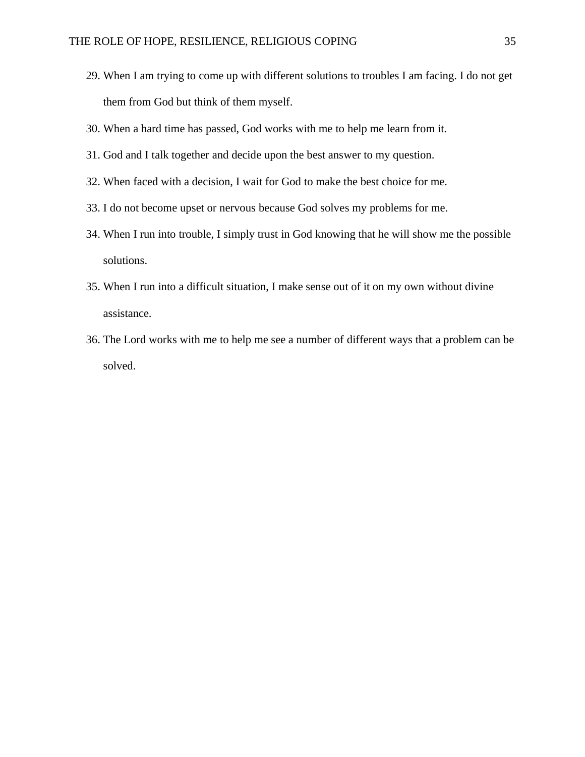- 29. When I am trying to come up with different solutions to troubles I am facing. I do not get them from God but think of them myself.
- 30. When a hard time has passed, God works with me to help me learn from it.
- 31. God and I talk together and decide upon the best answer to my question.
- 32. When faced with a decision, I wait for God to make the best choice for me.
- 33. I do not become upset or nervous because God solves my problems for me.
- 34. When I run into trouble, I simply trust in God knowing that he will show me the possible solutions.
- 35. When I run into a difficult situation, I make sense out of it on my own without divine assistance.
- 36. The Lord works with me to help me see a number of different ways that a problem can be solved.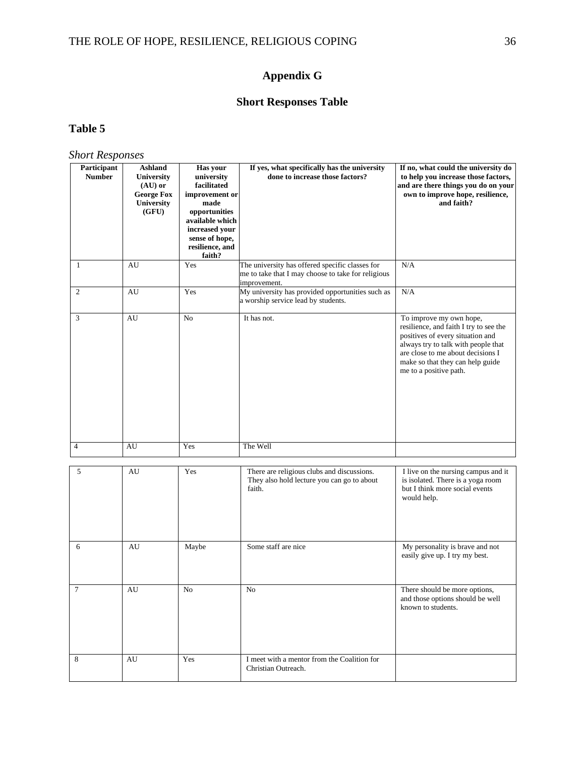# **Appendix G**

# **Short Responses Table**

# **Table 5**

*Short Responses* 

| Participant<br><b>Number</b> | <b>Ashland</b><br>University<br>$(AU)$ or<br><b>George Fox</b><br>University<br>(GFU) | Has your<br>university<br>facilitated<br>improvement or<br>made<br>opportunities<br>available which<br>increased your<br>sense of hope,<br>resilience, and<br>faith? | If yes, what specifically has the university<br>done to increase those factors?                                       | If no, what could the university do<br>to help you increase those factors,<br>and are there things you do on your<br>own to improve hope, resilience,<br>and faith?                                                                             |
|------------------------------|---------------------------------------------------------------------------------------|----------------------------------------------------------------------------------------------------------------------------------------------------------------------|-----------------------------------------------------------------------------------------------------------------------|-------------------------------------------------------------------------------------------------------------------------------------------------------------------------------------------------------------------------------------------------|
| $\mathbf{1}$                 | AU                                                                                    | Yes                                                                                                                                                                  | The university has offered specific classes for<br>me to take that I may choose to take for religious<br>improvement. | N/A                                                                                                                                                                                                                                             |
| $\mathbf{2}$                 | AU                                                                                    | Yes                                                                                                                                                                  | My university has provided opportunities such as<br>a worship service lead by students.                               | N/A                                                                                                                                                                                                                                             |
| 3                            | AU                                                                                    | No                                                                                                                                                                   | It has not.                                                                                                           | To improve my own hope,<br>resilience, and faith I try to see the<br>positives of every situation and<br>always try to talk with people that<br>are close to me about decisions I<br>make so that they can help guide<br>me to a positive path. |
| $\overline{4}$               | AU                                                                                    | Yes                                                                                                                                                                  | The Well                                                                                                              |                                                                                                                                                                                                                                                 |
| 5                            | AU                                                                                    | Yes                                                                                                                                                                  | There are religious clubs and discussions.<br>They also hold lecture you can go to about<br>faith.                    | I live on the nursing campus and it<br>is isolated. There is a yoga room<br>but I think more social events<br>would help.                                                                                                                       |
| 6                            | AU                                                                                    | Maybe                                                                                                                                                                | Some staff are nice                                                                                                   | My personality is brave and not<br>easily give up. I try my best.                                                                                                                                                                               |
| $\tau$                       | $\hbox{AU}$                                                                           | $\rm No$                                                                                                                                                             | $\rm No$                                                                                                              | There should be more options,<br>and those options should be well<br>known to students.                                                                                                                                                         |
| 8                            | AU                                                                                    | Yes                                                                                                                                                                  | I meet with a mentor from the Coalition for<br>Christian Outreach.                                                    |                                                                                                                                                                                                                                                 |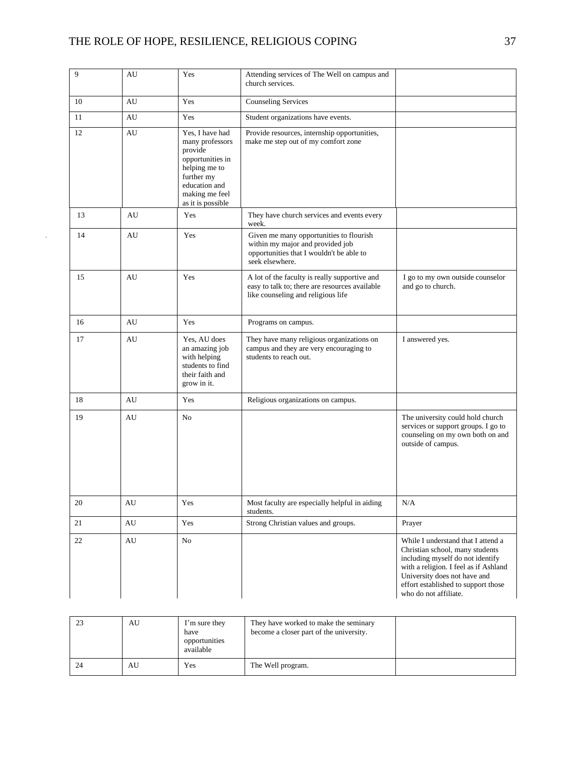$\Delta \sim 10^4$ 

| 9  | AU                     | Yes                                                                                                                                                      | Attending services of The Well on campus and<br>church services.                                                                           |                                                                                                                                                                                                                                                    |
|----|------------------------|----------------------------------------------------------------------------------------------------------------------------------------------------------|--------------------------------------------------------------------------------------------------------------------------------------------|----------------------------------------------------------------------------------------------------------------------------------------------------------------------------------------------------------------------------------------------------|
| 10 | AU                     | Yes                                                                                                                                                      | <b>Counseling Services</b>                                                                                                                 |                                                                                                                                                                                                                                                    |
| 11 | AU                     | Yes                                                                                                                                                      | Student organizations have events.                                                                                                         |                                                                                                                                                                                                                                                    |
| 12 | AU                     | Yes. I have had<br>many professors<br>provide<br>opportunities in<br>helping me to<br>further my<br>education and<br>making me feel<br>as it is possible | Provide resources, internship opportunities,<br>make me step out of my comfort zone                                                        |                                                                                                                                                                                                                                                    |
| 13 | AU                     | Yes                                                                                                                                                      | They have church services and events every<br>week.                                                                                        |                                                                                                                                                                                                                                                    |
| 14 | AU                     | Yes                                                                                                                                                      | Given me many opportunities to flourish<br>within my major and provided job<br>opportunities that I wouldn't be able to<br>seek elsewhere. |                                                                                                                                                                                                                                                    |
| 15 | AU                     | Yes                                                                                                                                                      | A lot of the faculty is really supportive and<br>easy to talk to; there are resources available<br>like counseling and religious life      | I go to my own outside counselor<br>and go to church.                                                                                                                                                                                              |
| 16 | AU                     | Yes                                                                                                                                                      | Programs on campus.                                                                                                                        |                                                                                                                                                                                                                                                    |
| 17 | AU                     | Yes, AU does<br>an amazing job<br>with helping<br>students to find<br>their faith and<br>grow in it.                                                     | They have many religious organizations on<br>campus and they are very encouraging to<br>students to reach out.                             | I answered yes.                                                                                                                                                                                                                                    |
| 18 | AU                     | Yes                                                                                                                                                      | Religious organizations on campus.                                                                                                         |                                                                                                                                                                                                                                                    |
| 19 | AU                     | N <sub>o</sub>                                                                                                                                           |                                                                                                                                            | The university could hold church<br>services or support groups. I go to<br>counseling on my own both on and<br>outside of campus.                                                                                                                  |
| 20 | AU                     | Yes                                                                                                                                                      | Most faculty are especially helpful in aiding<br>students.                                                                                 | N/A                                                                                                                                                                                                                                                |
| 21 | AU                     | Yes                                                                                                                                                      | Strong Christian values and groups.                                                                                                        | Prayer                                                                                                                                                                                                                                             |
| 22 | $\mathbf{A}\mathbf{U}$ | $\rm No$                                                                                                                                                 |                                                                                                                                            | While I understand that I attend a<br>Christian school, many students<br>including myself do not identify<br>with a religion. I feel as if Ashland<br>University does not have and<br>effort established to support those<br>who do not affiliate. |

|    | AU | I'm sure they<br>have<br>opportunities<br>available | They have worked to make the seminary<br>become a closer part of the university. |  |
|----|----|-----------------------------------------------------|----------------------------------------------------------------------------------|--|
| 24 | AU | Yes                                                 | The Well program.                                                                |  |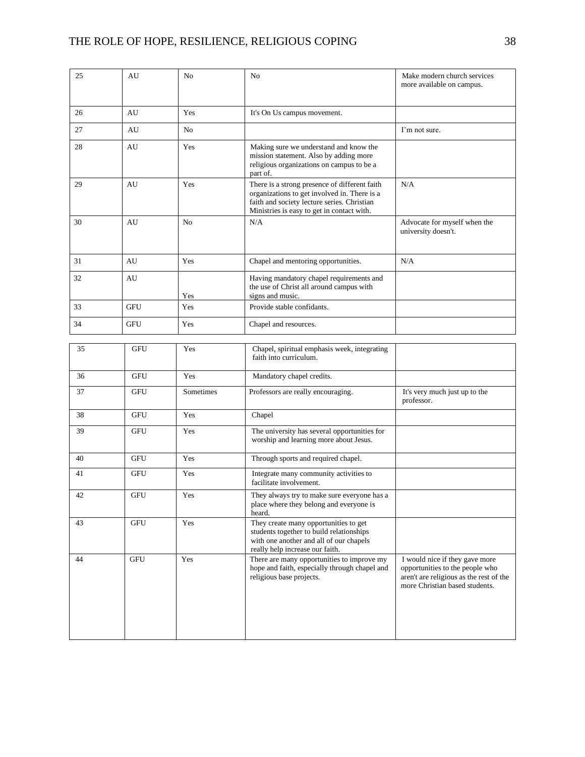| 25 | AU         | No                   | No                                                                                                                                                                                         | Make modern church services<br>more available on campus.                                                                                       |
|----|------------|----------------------|--------------------------------------------------------------------------------------------------------------------------------------------------------------------------------------------|------------------------------------------------------------------------------------------------------------------------------------------------|
| 26 | AU         | Yes                  | It's On Us campus movement.                                                                                                                                                                |                                                                                                                                                |
| 27 | AU         | N <sub>0</sub>       |                                                                                                                                                                                            | I'm not sure.                                                                                                                                  |
| 28 | AU         | Yes                  | Making sure we understand and know the<br>mission statement. Also by adding more<br>religious organizations on campus to be a<br>part of.                                                  |                                                                                                                                                |
| 29 | AU         | Yes                  | There is a strong presence of different faith<br>organizations to get involved in. There is a<br>faith and society lecture series. Christian<br>Ministries is easy to get in contact with. | N/A                                                                                                                                            |
| 30 | AU         | N <sub>0</sub>       | N/A                                                                                                                                                                                        | Advocate for myself when the<br>university doesn't.                                                                                            |
| 31 | AU         | Yes                  | Chapel and mentoring opportunities.                                                                                                                                                        | N/A                                                                                                                                            |
| 32 | AU         | Yes                  | Having mandatory chapel requirements and<br>the use of Christ all around campus with<br>signs and music.                                                                                   |                                                                                                                                                |
| 33 | <b>GFU</b> | Yes                  | Provide stable confidants.                                                                                                                                                                 |                                                                                                                                                |
| 34 | <b>GFU</b> | Yes                  | Chapel and resources.                                                                                                                                                                      |                                                                                                                                                |
|    |            |                      |                                                                                                                                                                                            |                                                                                                                                                |
| 35 | GFU        | Yes                  | Chapel, spiritual emphasis week, integrating<br>faith into curriculum.                                                                                                                     |                                                                                                                                                |
| 36 | <b>GFU</b> | Yes                  | Mandatory chapel credits.                                                                                                                                                                  |                                                                                                                                                |
| 37 | GFU        | Sometimes            | Professors are really encouraging.                                                                                                                                                         | It's very much just up to the<br>professor.                                                                                                    |
| 38 | <b>GFU</b> | Yes                  | Chapel                                                                                                                                                                                     |                                                                                                                                                |
| 39 | <b>GFU</b> | Yes                  | The university has several opportunities for<br>worship and learning more about Jesus.                                                                                                     |                                                                                                                                                |
| 40 | <b>GFU</b> | Yes                  | Through sports and required chapel.                                                                                                                                                        |                                                                                                                                                |
| 41 | <b>GFU</b> | Yes                  | Integrate many community activities to<br>facilitate involvement.                                                                                                                          |                                                                                                                                                |
| 42 | GFU        | $\operatorname{Yes}$ | They always try to make sure everyone has a<br>place where they belong and everyone is<br>heard.                                                                                           |                                                                                                                                                |
| 43 | <b>GFU</b> | Yes                  | They create many opportunities to get<br>students together to build relationships<br>with one another and all of our chapels<br>really help increase our faith.                            |                                                                                                                                                |
| 44 | <b>GFU</b> | Yes                  | There are many opportunities to improve my<br>hope and faith, especially through chapel and<br>religious base projects.                                                                    | I would nice if they gave more<br>opportunities to the people who<br>aren't are religious as the rest of the<br>more Christian based students. |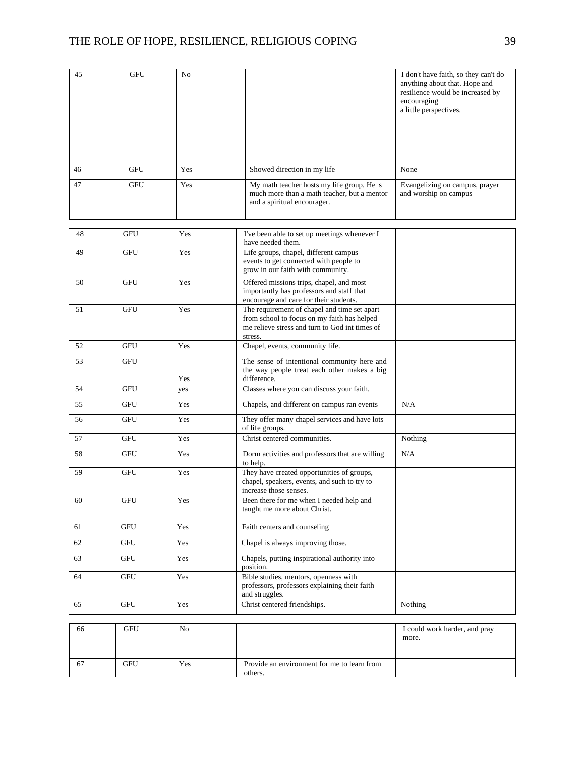| 45 | <b>GFU</b> | No         |                                                                                                                                                          | I don't have faith, so they can't do<br>anything about that. Hope and<br>resilience would be increased by<br>encouraging<br>a little perspectives. |
|----|------------|------------|----------------------------------------------------------------------------------------------------------------------------------------------------------|----------------------------------------------------------------------------------------------------------------------------------------------------|
| 46 | <b>GFU</b> | Yes        | Showed direction in my life                                                                                                                              | None                                                                                                                                               |
| 47 | <b>GFU</b> | Yes        | My math teacher hosts my life group. He <sup>1</sup> s<br>much more than a math teacher, but a mentor<br>and a spiritual encourager.                     | Evangelizing on campus, prayer<br>and worship on campus                                                                                            |
| 48 | <b>GFU</b> | Yes        | I've been able to set up meetings whenever I                                                                                                             |                                                                                                                                                    |
|    |            |            | have needed them.                                                                                                                                        |                                                                                                                                                    |
| 49 | <b>GFU</b> | Yes        | Life groups, chapel, different campus<br>events to get connected with people to<br>grow in our faith with community.                                     |                                                                                                                                                    |
| 50 | <b>GFU</b> | Yes        | Offered missions trips, chapel, and most<br>importantly has professors and staff that<br>encourage and care for their students.                          |                                                                                                                                                    |
| 51 | <b>GFU</b> | Yes        | The requirement of chapel and time set apart<br>from school to focus on my faith has helped<br>me relieve stress and turn to God int times of<br>stress. |                                                                                                                                                    |
| 52 | <b>GFU</b> | Yes        | Chapel, events, community life.                                                                                                                          |                                                                                                                                                    |
| 53 | <b>GFU</b> |            | The sense of intentional community here and<br>the way people treat each other makes a big                                                               |                                                                                                                                                    |
| 54 | <b>GFU</b> | Yes<br>yes | difference.<br>Classes where you can discuss your faith.                                                                                                 |                                                                                                                                                    |
| 55 | <b>GFU</b> | Yes        | Chapels, and different on campus ran events                                                                                                              | N/A                                                                                                                                                |
| 56 | <b>GFU</b> | Yes        | They offer many chapel services and have lots                                                                                                            |                                                                                                                                                    |
|    |            |            | of life groups.                                                                                                                                          |                                                                                                                                                    |
| 57 | <b>GFU</b> | Yes        | Christ centered communities.                                                                                                                             | Nothing                                                                                                                                            |
| 58 | GFU        | Yes        | Dorm activities and professors that are willing<br>to help.                                                                                              | N/A                                                                                                                                                |
| 59 | <b>GFU</b> | Yes        | They have created opportunities of groups,<br>chapel, speakers, events, and such to try to<br>increase those senses.                                     |                                                                                                                                                    |
| 60 | GFU        | Yes        | Been there for me when I needed help and<br>taught me more about Christ.                                                                                 |                                                                                                                                                    |
| 61 | <b>GFU</b> | Yes        | Faith centers and counseling                                                                                                                             |                                                                                                                                                    |
| 62 | GFU        | Yes        | Chapel is always improving those.                                                                                                                        |                                                                                                                                                    |
| 63 | GFU        | Yes        | Chapels, putting inspirational authority into<br>position.                                                                                               |                                                                                                                                                    |
| 64 | <b>GFU</b> | Yes        | Bible studies, mentors, openness with<br>professors, professors explaining their faith<br>and struggles.                                                 |                                                                                                                                                    |
| 65 | <b>GFU</b> | Yes        | Christ centered friendships.                                                                                                                             | Nothing                                                                                                                                            |
| 66 | <b>GFU</b> | No         |                                                                                                                                                          | I could work harder, and pray<br>more.                                                                                                             |
| 67 | <b>GFU</b> | Yes        | Provide an environment for me to learn from<br>others.                                                                                                   |                                                                                                                                                    |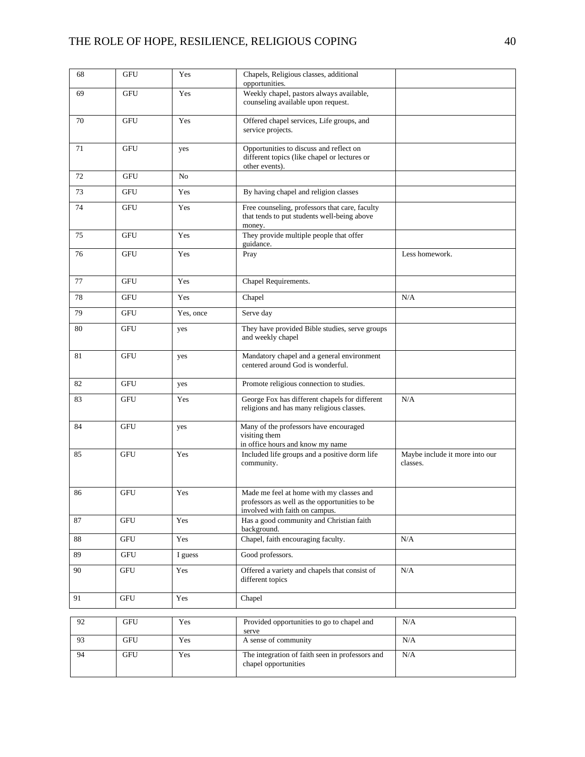| 68 | <b>GFU</b>           | Yes       | Chapels, Religious classes, additional<br>opportunities.                                                                    |                                            |
|----|----------------------|-----------|-----------------------------------------------------------------------------------------------------------------------------|--------------------------------------------|
| 69 | <b>GFU</b>           | Yes       | Weekly chapel, pastors always available,<br>counseling available upon request.                                              |                                            |
| 70 | <b>GFU</b>           | Yes       | Offered chapel services, Life groups, and<br>service projects.                                                              |                                            |
| 71 | <b>GFU</b>           | yes       | Opportunities to discuss and reflect on<br>different topics (like chapel or lectures or<br>other events).                   |                                            |
| 72 | <b>GFU</b>           | No        |                                                                                                                             |                                            |
| 73 | <b>GFU</b>           | Yes       | By having chapel and religion classes                                                                                       |                                            |
| 74 | <b>GFU</b>           | Yes       | Free counseling, professors that care, faculty<br>that tends to put students well-being above<br>money.                     |                                            |
| 75 | <b>GFU</b>           | Yes       | They provide multiple people that offer<br>guidance.                                                                        |                                            |
| 76 | GFU                  | Yes       | Pray                                                                                                                        | Less homework.                             |
| 77 | GFU                  | Yes       | Chapel Requirements.                                                                                                        |                                            |
| 78 | <b>GFU</b>           | Yes       | Chapel                                                                                                                      | N/A                                        |
| 79 | <b>GFU</b>           | Yes, once | Serve day                                                                                                                   |                                            |
| 80 | <b>GFU</b>           | yes       | They have provided Bible studies, serve groups<br>and weekly chapel                                                         |                                            |
| 81 | <b>GFU</b>           | yes       | Mandatory chapel and a general environment<br>centered around God is wonderful.                                             |                                            |
| 82 | <b>GFU</b>           | yes       | Promote religious connection to studies.                                                                                    |                                            |
| 83 | <b>GFU</b>           | Yes       | George Fox has different chapels for different<br>religions and has many religious classes.                                 | N/A                                        |
| 84 | <b>GFU</b>           | yes       | Many of the professors have encouraged<br>visiting them<br>in office hours and know my name                                 |                                            |
| 85 | <b>GFU</b>           | Yes       | Included life groups and a positive dorm life<br>community.                                                                 | Maybe include it more into our<br>classes. |
| 86 | <b>GFU</b>           | Yes       | Made me feel at home with my classes and<br>professors as well as the opportunities to be<br>involved with faith on campus. |                                            |
| 87 | <b>GFU</b>           | Yes       | Has a good community and Christian faith<br>background.                                                                     |                                            |
| 88 | <b>GFU</b>           | Yes       | Chapel, faith encouraging faculty.                                                                                          | N/A                                        |
| 89 | <b>GFU</b>           | I guess   | Good professors.                                                                                                            |                                            |
| 90 | GFU                  | Yes       | Offered a variety and chapels that consist of<br>different topics                                                           | N/A                                        |
| 91 | GFU                  | Yes       | Chapel                                                                                                                      |                                            |
| 92 | GFU                  | Yes       | Provided opportunities to go to chapel and                                                                                  | N/A                                        |
|    |                      |           | serve                                                                                                                       |                                            |
| 93 | $\operatorname{GFU}$ | Yes       | A sense of community                                                                                                        | N/A                                        |
| 94 | $\operatorname{GFU}$ | Yes       | The integration of faith seen in professors and<br>chapel opportunities                                                     | N/A                                        |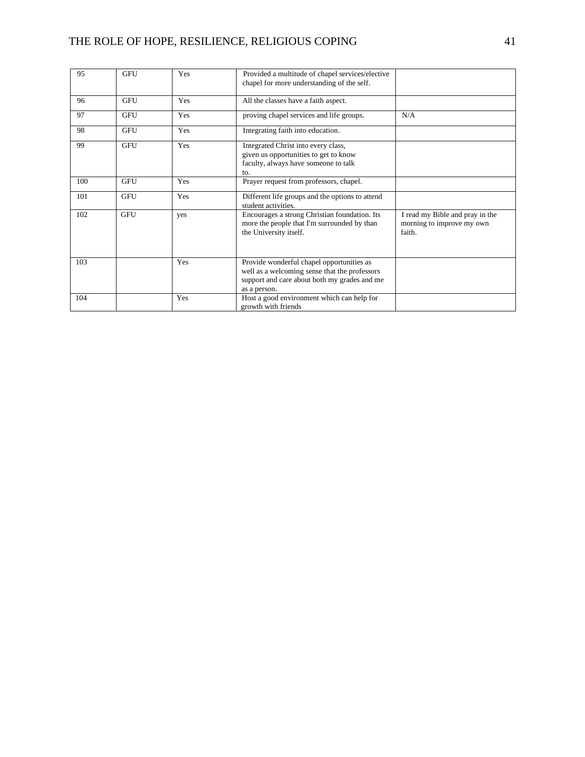| 95  | <b>GFU</b> | Yes | Provided a multitude of chapel services/elective<br>chapel for more understanding of the self.                                                             |                                                                        |
|-----|------------|-----|------------------------------------------------------------------------------------------------------------------------------------------------------------|------------------------------------------------------------------------|
| 96  | <b>GFU</b> | Yes | All the classes have a faith aspect.                                                                                                                       |                                                                        |
| 97  | <b>GFU</b> | Yes | proving chapel services and life groups.                                                                                                                   | N/A                                                                    |
| 98  | <b>GFU</b> | Yes | Integrating faith into education.                                                                                                                          |                                                                        |
| 99  | <b>GFU</b> | Yes | Integrated Christ into every class,<br>given us opportunities to get to know<br>faculty, always have someone to talk<br>to.                                |                                                                        |
| 100 | <b>GFU</b> | Yes | Prayer request from professors, chapel.                                                                                                                    |                                                                        |
| 101 | <b>GFU</b> | Yes | Different life groups and the options to attend<br>student activities.                                                                                     |                                                                        |
| 102 | <b>GFU</b> | yes | Encourages a strong Christian foundation. Its<br>more the people that I'm surrounded by than<br>the University itself.                                     | I read my Bible and pray in the<br>morning to improve my own<br>faith. |
| 103 |            | Yes | Provide wonderful chapel opportunities as<br>well as a welcoming sense that the professors<br>support and care about both my grades and me<br>as a person. |                                                                        |
| 104 |            | Yes | Host a good environment which can help for<br>growth with friends                                                                                          |                                                                        |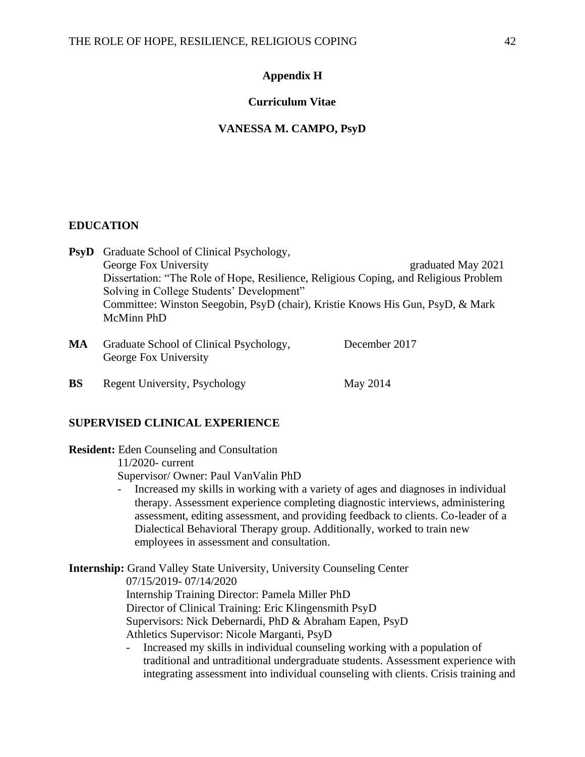# **Appendix H**

# **Curriculum Vitae**

#### **VANESSA M. CAMPO, PsyD**

# **EDUCATION**

**PsyD** Graduate School of Clinical Psychology, George Fox University George The George Fox University George Theorem and the George Theorem and the George Theorem and the George Theorem and Theorem and Theorem and Theorem and Theorem and Theorem and Theorem and Theorem Dissertation: "The Role of Hope, Resilience, Religious Coping, and Religious Problem Solving in College Students' Development" Committee: Winston Seegobin, PsyD (chair), Kristie Knows His Gun, PsyD, & Mark McMinn PhD

- MA Graduate School of Clinical Psychology, December 2017 George Fox University
- **BS** Regent University, Psychology May 2014

# **SUPERVISED CLINICAL EXPERIENCE**

**Resident:** Eden Counseling and Consultation 11/2020- current Supervisor/ Owner: Paul VanValin PhD

> - Increased my skills in working with a variety of ages and diagnoses in individual therapy. Assessment experience completing diagnostic interviews, administering assessment, editing assessment, and providing feedback to clients. Co-leader of a Dialectical Behavioral Therapy group. Additionally, worked to train new employees in assessment and consultation.

**Internship:** Grand Valley State University, University Counseling Center 07/15/2019- 07/14/2020 Internship Training Director: Pamela Miller PhD Director of Clinical Training: Eric Klingensmith PsyD Supervisors: Nick Debernardi, PhD & Abraham Eapen, PsyD Athletics Supervisor: Nicole Marganti, PsyD

- Increased my skills in individual counseling working with a population of traditional and untraditional undergraduate students. Assessment experience with integrating assessment into individual counseling with clients. Crisis training and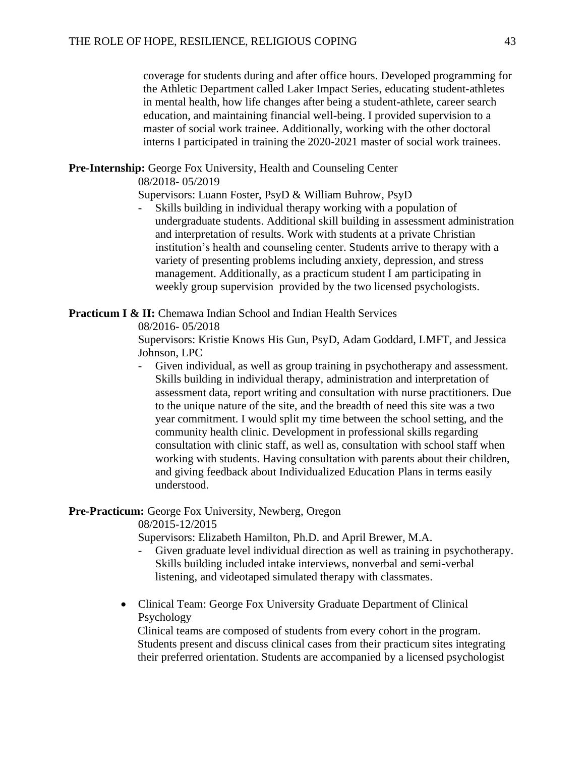coverage for students during and after office hours. Developed programming for the Athletic Department called Laker Impact Series, educating student-athletes in mental health, how life changes after being a student-athlete, career search education, and maintaining financial well-being. I provided supervision to a master of social work trainee. Additionally, working with the other doctoral interns I participated in training the 2020-2021 master of social work trainees.

# **Pre-Internship:** George Fox University, Health and Counseling Center

08/2018- 05/2019

Supervisors: Luann Foster, PsyD & William Buhrow, PsyD

- Skills building in individual therapy working with a population of undergraduate students. Additional skill building in assessment administration and interpretation of results. Work with students at a private Christian institution's health and counseling center. Students arrive to therapy with a variety of presenting problems including anxiety, depression, and stress management. Additionally, as a practicum student I am participating in weekly group supervision provided by the two licensed psychologists.

**Practicum I & II:** Chemawa Indian School and Indian Health Services

08/2016- 05/2018

Supervisors: Kristie Knows His Gun, PsyD, Adam Goddard, LMFT, and Jessica Johnson, LPC

- Given individual, as well as group training in psychotherapy and assessment. Skills building in individual therapy, administration and interpretation of assessment data, report writing and consultation with nurse practitioners. Due to the unique nature of the site, and the breadth of need this site was a two year commitment. I would split my time between the school setting, and the community health clinic. Development in professional skills regarding consultation with clinic staff, as well as, consultation with school staff when working with students. Having consultation with parents about their children, and giving feedback about Individualized Education Plans in terms easily understood.

# **Pre-Practicum:** George Fox University, Newberg, Oregon

08/2015-12/2015

Supervisors: Elizabeth Hamilton, Ph.D. and April Brewer, M.A.

- Given graduate level individual direction as well as training in psychotherapy. Skills building included intake interviews, nonverbal and semi-verbal listening, and videotaped simulated therapy with classmates.
- Clinical Team: George Fox University Graduate Department of Clinical Psychology

Clinical teams are composed of students from every cohort in the program. Students present and discuss clinical cases from their practicum sites integrating their preferred orientation. Students are accompanied by a licensed psychologist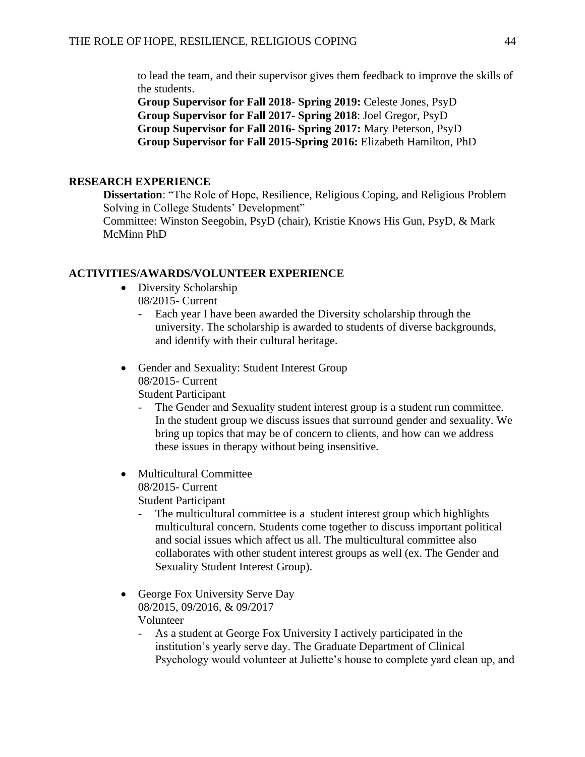to lead the team, and their supervisor gives them feedback to improve the skills of the students.

**Group Supervisor for Fall 2018**- **Spring 2019:** Celeste Jones, PsyD **Group Supervisor for Fall 2017- Spring 2018**: Joel Gregor, PsyD **Group Supervisor for Fall 2016- Spring 2017:** Mary Peterson, PsyD **Group Supervisor for Fall 2015-Spring 2016:** Elizabeth Hamilton, PhD

# **RESEARCH EXPERIENCE**

**Dissertation**: "The Role of Hope, Resilience, Religious Coping, and Religious Problem Solving in College Students' Development"

Committee: Winston Seegobin, PsyD (chair), Kristie Knows His Gun, PsyD, & Mark McMinn PhD

# **ACTIVITIES/AWARDS/VOLUNTEER EXPERIENCE**

- Diversity Scholarship 08/2015- Current
	- Each year I have been awarded the Diversity scholarship through the university. The scholarship is awarded to students of diverse backgrounds, and identify with their cultural heritage.
- Gender and Sexuality: Student Interest Group 08/2015- Current

Student Participant

- The Gender and Sexuality student interest group is a student run committee. In the student group we discuss issues that surround gender and sexuality. We bring up topics that may be of concern to clients, and how can we address these issues in therapy without being insensitive.
- Multicultural Committee 08/2015- Current Student Participant
	- - The multicultural committee is a student interest group which highlights multicultural concern. Students come together to discuss important political and social issues which affect us all. The multicultural committee also collaborates with other student interest groups as well (ex. The Gender and Sexuality Student Interest Group).
- George Fox University Serve Day 08/2015, 09/2016, & 09/2017 Volunteer
	- As a student at George Fox University I actively participated in the institution's yearly serve day. The Graduate Department of Clinical Psychology would volunteer at Juliette's house to complete yard clean up, and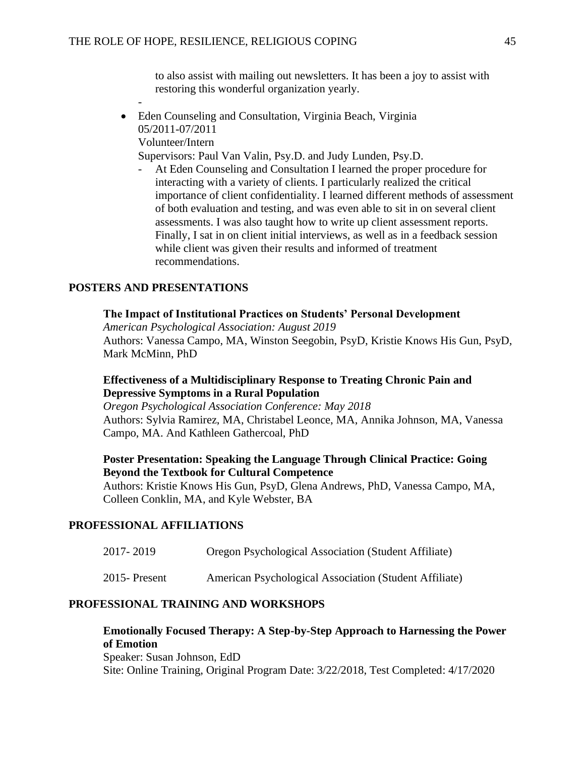to also assist with mailing out newsletters. It has been a joy to assist with restoring this wonderful organization yearly.

- Eden Counseling and Consultation, Virginia Beach, Virginia 05/2011-07/2011 Volunteer/Intern Supervisors: Paul Van Valin, Psy.D. and Judy Lunden, Psy.D.
	- At Eden Counseling and Consultation I learned the proper procedure for interacting with a variety of clients. I particularly realized the critical importance of client confidentiality. I learned different methods of assessment of both evaluation and testing, and was even able to sit in on several client assessments. I was also taught how to write up client assessment reports. Finally, I sat in on client initial interviews, as well as in a feedback session while client was given their results and informed of treatment recommendations.

# **POSTERS AND PRESENTATIONS**

-

# **The Impact of Institutional Practices on Students' Personal Development**

*American Psychological Association: August 2019* Authors: Vanessa Campo, MA, Winston Seegobin, PsyD, Kristie Knows His Gun, PsyD, Mark McMinn, PhD

# **Effectiveness of a Multidisciplinary Response to Treating Chronic Pain and Depressive Symptoms in a Rural Population**

*Oregon Psychological Association Conference: May 2018* Authors: Sylvia Ramirez, MA, Christabel Leonce, MA, Annika Johnson, MA, Vanessa Campo, MA. And Kathleen Gathercoal, PhD

# **Poster Presentation: Speaking the Language Through Clinical Practice: Going Beyond the Textbook for Cultural Competence**

Authors: Kristie Knows His Gun, PsyD, Glena Andrews, PhD, Vanessa Campo, MA, Colleen Conklin, MA, and Kyle Webster, BA

# **PROFESSIONAL AFFILIATIONS**

2017- 2019 Oregon Psychological Association (Student Affiliate)

2015- Present American Psychological Association (Student Affiliate)

# **PROFESSIONAL TRAINING AND WORKSHOPS**

# **Emotionally Focused Therapy: A Step-by-Step Approach to Harnessing the Power of Emotion** Speaker: Susan Johnson, EdD

Site: Online Training, Original Program Date: 3/22/2018, Test Completed: 4/17/2020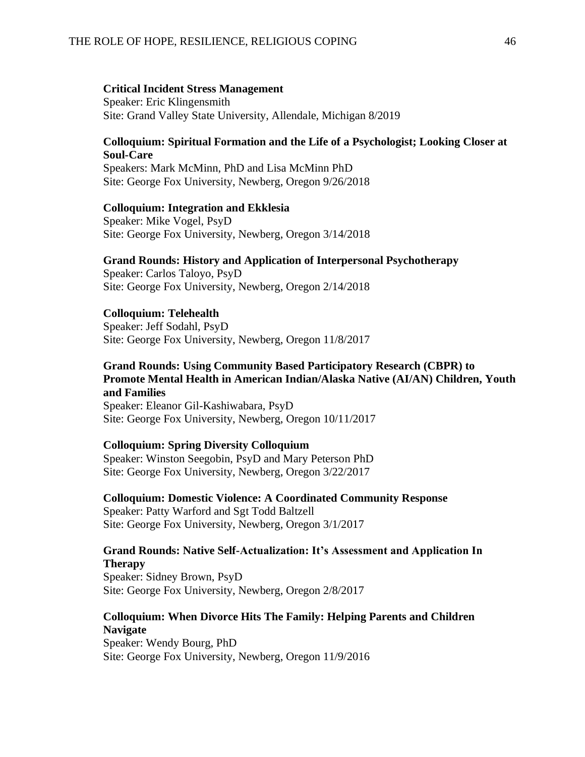#### **Critical Incident Stress Management**

Speaker: Eric Klingensmith Site: Grand Valley State University, Allendale, Michigan 8/2019

# **Colloquium: Spiritual Formation and the Life of a Psychologist; Looking Closer at Soul-Care**

Speakers: Mark McMinn, PhD and Lisa McMinn PhD Site: George Fox University, Newberg, Oregon 9/26/2018

# **Colloquium: Integration and Ekklesia**

Speaker: Mike Vogel, PsyD Site: George Fox University, Newberg, Oregon 3/14/2018

# **Grand Rounds: History and Application of Interpersonal Psychotherapy**

Speaker: Carlos Taloyo, PsyD Site: George Fox University, Newberg, Oregon 2/14/2018

# **Colloquium: Telehealth**

Speaker: Jeff Sodahl, PsyD Site: George Fox University, Newberg, Oregon 11/8/2017

# **Grand Rounds: Using Community Based Participatory Research (CBPR) to Promote Mental Health in American Indian/Alaska Native (AI/AN) Children, Youth and Families**

Speaker: Eleanor Gil-Kashiwabara, PsyD Site: George Fox University, Newberg, Oregon 10/11/2017

# **Colloquium: Spring Diversity Colloquium**

Speaker: Winston Seegobin, PsyD and Mary Peterson PhD Site: George Fox University, Newberg, Oregon 3/22/2017

**Colloquium: Domestic Violence: A Coordinated Community Response** Speaker: Patty Warford and Sgt Todd Baltzell Site: George Fox University, Newberg, Oregon 3/1/2017

# **Grand Rounds: Native Self-Actualization: It's Assessment and Application In Therapy**

Speaker: Sidney Brown, PsyD Site: George Fox University, Newberg, Oregon 2/8/2017

# **Colloquium: When Divorce Hits The Family: Helping Parents and Children Navigate**

Speaker: Wendy Bourg, PhD Site: George Fox University, Newberg, Oregon 11/9/2016